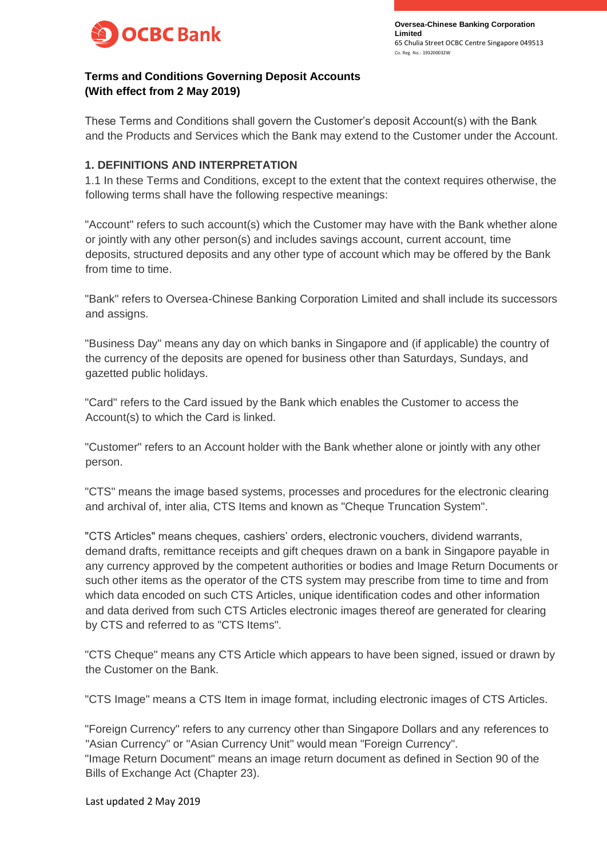

# **Terms and Conditions Governing Deposit Accounts (With effect from 2 May 2019)**

These Terms and Conditions shall govern the Customer's deposit Account(s) with the Bank and the Products and Services which the Bank may extend to the Customer under the Account.

### **1. DEFINITIONS AND INTERPRETATION**

1.1 In these Terms and Conditions, except to the extent that the context requires otherwise, the following terms shall have the following respective meanings:

"Account" refers to such account(s) which the Customer may have with the Bank whether alone or jointly with any other person(s) and includes savings account, current account, time deposits, structured deposits and any other type of account which may be offered by the Bank from time to time.

"Bank" refers to Oversea-Chinese Banking Corporation Limited and shall include its successors and assigns.

"Business Day" means any day on which banks in Singapore and (if applicable) the country of the currency of the deposits are opened for business other than Saturdays, Sundays, and gazetted public holidays.

"Card" refers to the Card issued by the Bank which enables the Customer to access the Account(s) to which the Card is linked.

"Customer" refers to an Account holder with the Bank whether alone or jointly with any other person.

"CTS" means the image based systems, processes and procedures for the electronic clearing and archival of, inter alia, CTS Items and known as "Cheque Truncation System".

"CTS Articles" means cheques, cashiers' orders, electronic vouchers, dividend warrants, demand drafts, remittance receipts and gift cheques drawn on a bank in Singapore payable in any currency approved by the competent authorities or bodies and Image Return Documents or such other items as the operator of the CTS system may prescribe from time to time and from which data encoded on such CTS Articles, unique identification codes and other information and data derived from such CTS Articles electronic images thereof are generated for clearing by CTS and referred to as "CTS Items".

"CTS Cheque" means any CTS Article which appears to have been signed, issued or drawn by the Customer on the Bank.

"CTS Image" means a CTS Item in image format, including electronic images of CTS Articles.

"Foreign Currency" refers to any currency other than Singapore Dollars and any references to "Asian Currency" or "Asian Currency Unit" would mean "Foreign Currency". "Image Return Document" means an image return document as defined in Section 90 of the Bills of Exchange Act (Chapter 23).

Last updated 2 May 2019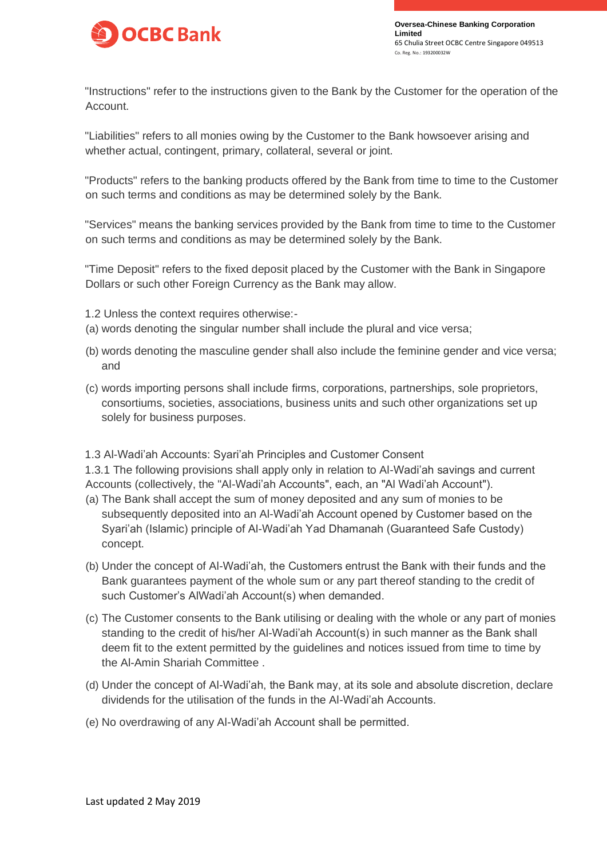

"Instructions" refer to the instructions given to the Bank by the Customer for the operation of the Account.

"Liabilities" refers to all monies owing by the Customer to the Bank howsoever arising and whether actual, contingent, primary, collateral, several or joint.

"Products" refers to the banking products offered by the Bank from time to time to the Customer on such terms and conditions as may be determined solely by the Bank.

"Services" means the banking services provided by the Bank from time to time to the Customer on such terms and conditions as may be determined solely by the Bank.

"Time Deposit" refers to the fixed deposit placed by the Customer with the Bank in Singapore Dollars or such other Foreign Currency as the Bank may allow.

- 1.2 Unless the context requires otherwise:-
- (a) words denoting the singular number shall include the plural and vice versa;
- (b) words denoting the masculine gender shall also include the feminine gender and vice versa; and
- (c) words importing persons shall include firms, corporations, partnerships, sole proprietors, consortiums, societies, associations, business units and such other organizations set up solely for business purposes.

1.3 Al-Wadi'ah Accounts: Syari'ah Principles and Customer Consent

1.3.1 The following provisions shall apply only in relation to Al-Wadi'ah savings and current Accounts (collectively, the "Al-Wadi'ah Accounts", each, an "Al Wadi'ah Account").

- (a) The Bank shall accept the sum of money deposited and any sum of monies to be subsequently deposited into an Al-Wadi'ah Account opened by Customer based on the Syari'ah (Islamic) principle of Al-Wadi'ah Yad Dhamanah (Guaranteed Safe Custody) concept.
- (b) Under the concept of Al-Wadi'ah, the Customers entrust the Bank with their funds and the Bank guarantees payment of the whole sum or any part thereof standing to the credit of such Customer's AlWadi'ah Account(s) when demanded.
- (c) The Customer consents to the Bank utilising or dealing with the whole or any part of monies standing to the credit of his/her Al-Wadi'ah Account(s) in such manner as the Bank shall deem fit to the extent permitted by the guidelines and notices issued from time to time by the Al-Amin Shariah Committee .
- (d) Under the concept of Al-Wadi'ah, the Bank may, at its sole and absolute discretion, declare dividends for the utilisation of the funds in the Al-Wadi'ah Accounts.
- (e) No overdrawing of any Al-Wadi'ah Account shall be permitted.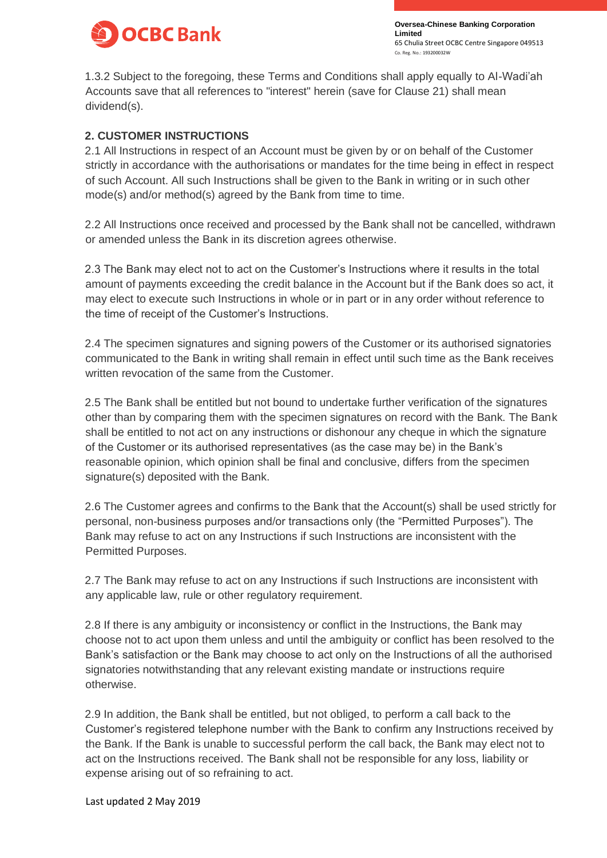

1.3.2 Subject to the foregoing, these Terms and Conditions shall apply equally to Al-Wadi'ah Accounts save that all references to "interest" herein (save for Clause 21) shall mean dividend(s).

### **2. CUSTOMER INSTRUCTIONS**

2.1 All Instructions in respect of an Account must be given by or on behalf of the Customer strictly in accordance with the authorisations or mandates for the time being in effect in respect of such Account. All such Instructions shall be given to the Bank in writing or in such other mode(s) and/or method(s) agreed by the Bank from time to time.

2.2 All Instructions once received and processed by the Bank shall not be cancelled, withdrawn or amended unless the Bank in its discretion agrees otherwise.

2.3 The Bank may elect not to act on the Customer's Instructions where it results in the total amount of payments exceeding the credit balance in the Account but if the Bank does so act, it may elect to execute such Instructions in whole or in part or in any order without reference to the time of receipt of the Customer's Instructions.

2.4 The specimen signatures and signing powers of the Customer or its authorised signatories communicated to the Bank in writing shall remain in effect until such time as the Bank receives written revocation of the same from the Customer.

2.5 The Bank shall be entitled but not bound to undertake further verification of the signatures other than by comparing them with the specimen signatures on record with the Bank. The Bank shall be entitled to not act on any instructions or dishonour any cheque in which the signature of the Customer or its authorised representatives (as the case may be) in the Bank's reasonable opinion, which opinion shall be final and conclusive, differs from the specimen signature(s) deposited with the Bank.

2.6 The Customer agrees and confirms to the Bank that the Account(s) shall be used strictly for personal, non-business purposes and/or transactions only (the "Permitted Purposes"). The Bank may refuse to act on any Instructions if such Instructions are inconsistent with the Permitted Purposes.

2.7 The Bank may refuse to act on any Instructions if such Instructions are inconsistent with any applicable law, rule or other regulatory requirement.

2.8 If there is any ambiguity or inconsistency or conflict in the Instructions, the Bank may choose not to act upon them unless and until the ambiguity or conflict has been resolved to the Bank's satisfaction or the Bank may choose to act only on the Instructions of all the authorised signatories notwithstanding that any relevant existing mandate or instructions require otherwise.

2.9 In addition, the Bank shall be entitled, but not obliged, to perform a call back to the Customer's registered telephone number with the Bank to confirm any Instructions received by the Bank. If the Bank is unable to successful perform the call back, the Bank may elect not to act on the Instructions received. The Bank shall not be responsible for any loss, liability or expense arising out of so refraining to act.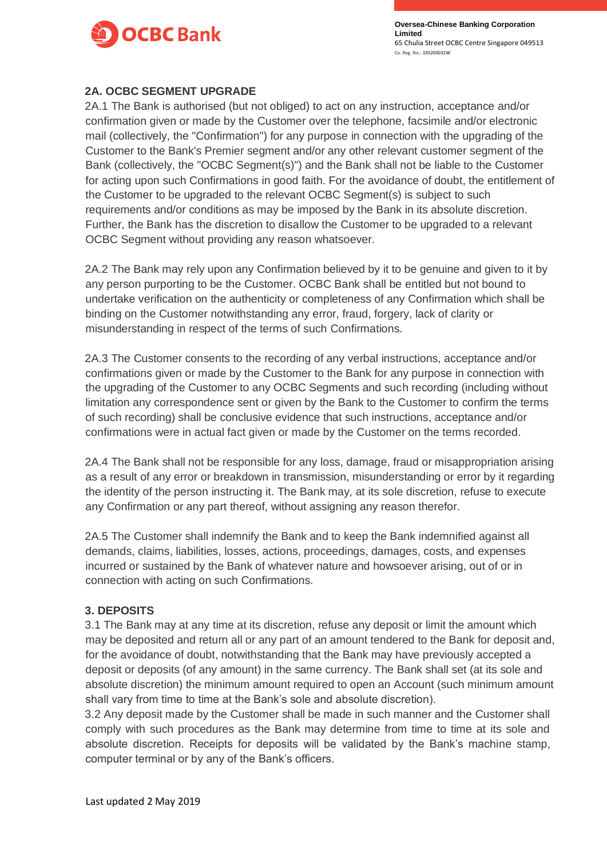

### **2A. OCBC SEGMENT UPGRADE**

2A.1 The Bank is authorised (but not obliged) to act on any instruction, acceptance and/or confirmation given or made by the Customer over the telephone, facsimile and/or electronic mail (collectively, the "Confirmation") for any purpose in connection with the upgrading of the Customer to the Bank's Premier segment and/or any other relevant customer segment of the Bank (collectively, the "OCBC Segment(s)") and the Bank shall not be liable to the Customer for acting upon such Confirmations in good faith. For the avoidance of doubt, the entitlement of the Customer to be upgraded to the relevant OCBC Segment(s) is subject to such requirements and/or conditions as may be imposed by the Bank in its absolute discretion. Further, the Bank has the discretion to disallow the Customer to be upgraded to a relevant OCBC Segment without providing any reason whatsoever.

2A.2 The Bank may rely upon any Confirmation believed by it to be genuine and given to it by any person purporting to be the Customer. OCBC Bank shall be entitled but not bound to undertake verification on the authenticity or completeness of any Confirmation which shall be binding on the Customer notwithstanding any error, fraud, forgery, lack of clarity or misunderstanding in respect of the terms of such Confirmations.

2A.3 The Customer consents to the recording of any verbal instructions, acceptance and/or confirmations given or made by the Customer to the Bank for any purpose in connection with the upgrading of the Customer to any OCBC Segments and such recording (including without limitation any correspondence sent or given by the Bank to the Customer to confirm the terms of such recording) shall be conclusive evidence that such instructions, acceptance and/or confirmations were in actual fact given or made by the Customer on the terms recorded.

2A.4 The Bank shall not be responsible for any loss, damage, fraud or misappropriation arising as a result of any error or breakdown in transmission, misunderstanding or error by it regarding the identity of the person instructing it. The Bank may, at its sole discretion, refuse to execute any Confirmation or any part thereof, without assigning any reason therefor.

2A.5 The Customer shall indemnify the Bank and to keep the Bank indemnified against all demands, claims, liabilities, losses, actions, proceedings, damages, costs, and expenses incurred or sustained by the Bank of whatever nature and howsoever arising, out of or in connection with acting on such Confirmations.

### **3. DEPOSITS**

3.1 The Bank may at any time at its discretion, refuse any deposit or limit the amount which may be deposited and return all or any part of an amount tendered to the Bank for deposit and, for the avoidance of doubt, notwithstanding that the Bank may have previously accepted a deposit or deposits (of any amount) in the same currency. The Bank shall set (at its sole and absolute discretion) the minimum amount required to open an Account (such minimum amount shall vary from time to time at the Bank's sole and absolute discretion).

3.2 Any deposit made by the Customer shall be made in such manner and the Customer shall comply with such procedures as the Bank may determine from time to time at its sole and absolute discretion. Receipts for deposits will be validated by the Bank's machine stamp, computer terminal or by any of the Bank's officers.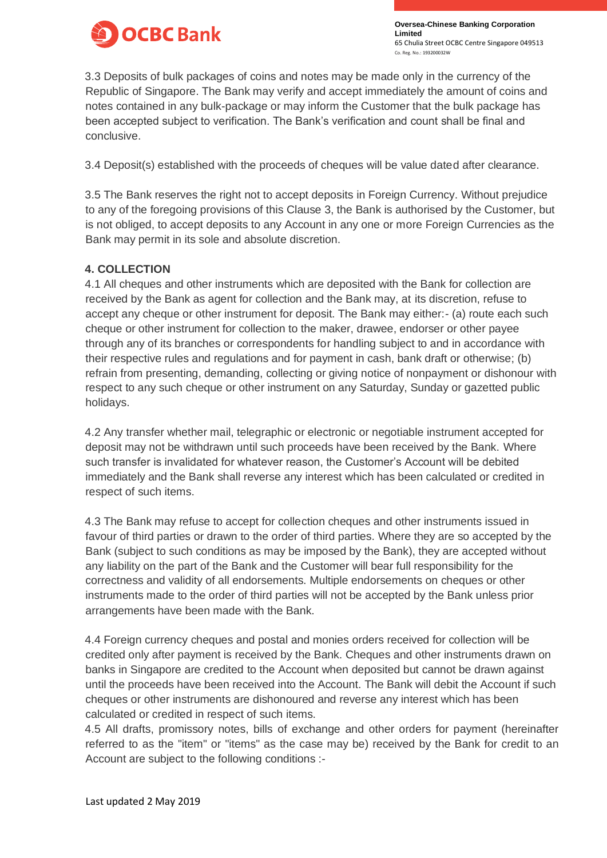

3.3 Deposits of bulk packages of coins and notes may be made only in the currency of the Republic of Singapore. The Bank may verify and accept immediately the amount of coins and notes contained in any bulk-package or may inform the Customer that the bulk package has been accepted subject to verification. The Bank's verification and count shall be final and conclusive.

3.4 Deposit(s) established with the proceeds of cheques will be value dated after clearance.

3.5 The Bank reserves the right not to accept deposits in Foreign Currency. Without prejudice to any of the foregoing provisions of this Clause 3, the Bank is authorised by the Customer, but is not obliged, to accept deposits to any Account in any one or more Foreign Currencies as the Bank may permit in its sole and absolute discretion.

### **4. COLLECTION**

4.1 All cheques and other instruments which are deposited with the Bank for collection are received by the Bank as agent for collection and the Bank may, at its discretion, refuse to accept any cheque or other instrument for deposit. The Bank may either:- (a) route each such cheque or other instrument for collection to the maker, drawee, endorser or other payee through any of its branches or correspondents for handling subject to and in accordance with their respective rules and regulations and for payment in cash, bank draft or otherwise; (b) refrain from presenting, demanding, collecting or giving notice of nonpayment or dishonour with respect to any such cheque or other instrument on any Saturday, Sunday or gazetted public holidays.

4.2 Any transfer whether mail, telegraphic or electronic or negotiable instrument accepted for deposit may not be withdrawn until such proceeds have been received by the Bank. Where such transfer is invalidated for whatever reason, the Customer's Account will be debited immediately and the Bank shall reverse any interest which has been calculated or credited in respect of such items.

4.3 The Bank may refuse to accept for collection cheques and other instruments issued in favour of third parties or drawn to the order of third parties. Where they are so accepted by the Bank (subject to such conditions as may be imposed by the Bank), they are accepted without any liability on the part of the Bank and the Customer will bear full responsibility for the correctness and validity of all endorsements. Multiple endorsements on cheques or other instruments made to the order of third parties will not be accepted by the Bank unless prior arrangements have been made with the Bank.

4.4 Foreign currency cheques and postal and monies orders received for collection will be credited only after payment is received by the Bank. Cheques and other instruments drawn on banks in Singapore are credited to the Account when deposited but cannot be drawn against until the proceeds have been received into the Account. The Bank will debit the Account if such cheques or other instruments are dishonoured and reverse any interest which has been calculated or credited in respect of such items.

4.5 All drafts, promissory notes, bills of exchange and other orders for payment (hereinafter referred to as the "item" or "items" as the case may be) received by the Bank for credit to an Account are subject to the following conditions :-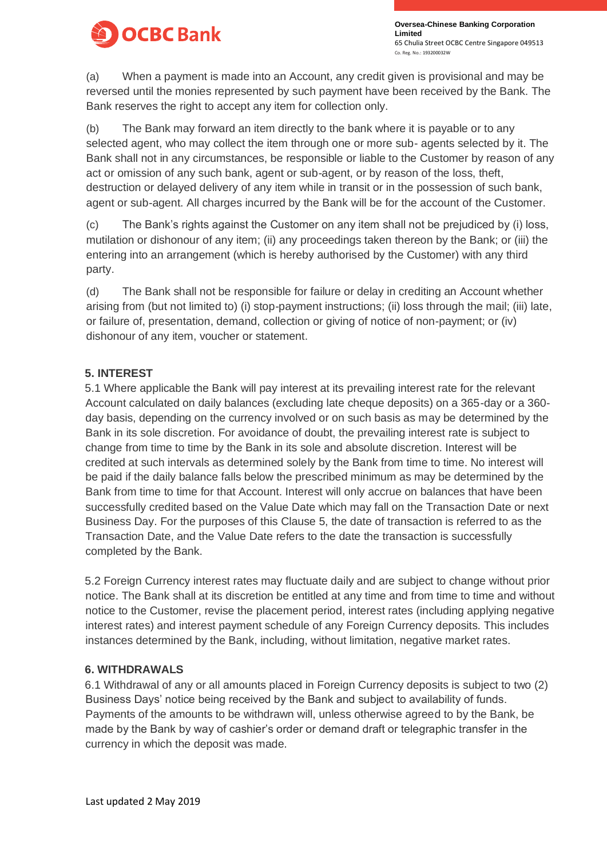

(a) When a payment is made into an Account, any credit given is provisional and may be reversed until the monies represented by such payment have been received by the Bank. The Bank reserves the right to accept any item for collection only.

(b) The Bank may forward an item directly to the bank where it is payable or to any selected agent, who may collect the item through one or more sub- agents selected by it. The Bank shall not in any circumstances, be responsible or liable to the Customer by reason of any act or omission of any such bank, agent or sub-agent, or by reason of the loss, theft, destruction or delayed delivery of any item while in transit or in the possession of such bank, agent or sub-agent. All charges incurred by the Bank will be for the account of the Customer.

(c) The Bank's rights against the Customer on any item shall not be prejudiced by (i) loss, mutilation or dishonour of any item; (ii) any proceedings taken thereon by the Bank; or (iii) the entering into an arrangement (which is hereby authorised by the Customer) with any third party.

(d) The Bank shall not be responsible for failure or delay in crediting an Account whether arising from (but not limited to) (i) stop-payment instructions; (ii) loss through the mail; (iii) late, or failure of, presentation, demand, collection or giving of notice of non-payment; or (iv) dishonour of any item, voucher or statement.

### **5. INTEREST**

5.1 Where applicable the Bank will pay interest at its prevailing interest rate for the relevant Account calculated on daily balances (excluding late cheque deposits) on a 365-day or a 360 day basis, depending on the currency involved or on such basis as may be determined by the Bank in its sole discretion. For avoidance of doubt, the prevailing interest rate is subject to change from time to time by the Bank in its sole and absolute discretion. Interest will be credited at such intervals as determined solely by the Bank from time to time. No interest will be paid if the daily balance falls below the prescribed minimum as may be determined by the Bank from time to time for that Account. Interest will only accrue on balances that have been successfully credited based on the Value Date which may fall on the Transaction Date or next Business Day. For the purposes of this Clause 5, the date of transaction is referred to as the Transaction Date, and the Value Date refers to the date the transaction is successfully completed by the Bank.

5.2 Foreign Currency interest rates may fluctuate daily and are subject to change without prior notice. The Bank shall at its discretion be entitled at any time and from time to time and without notice to the Customer, revise the placement period, interest rates (including applying negative interest rates) and interest payment schedule of any Foreign Currency deposits. This includes instances determined by the Bank, including, without limitation, negative market rates.

### **6. WITHDRAWALS**

6.1 Withdrawal of any or all amounts placed in Foreign Currency deposits is subject to two (2) Business Days' notice being received by the Bank and subject to availability of funds. Payments of the amounts to be withdrawn will, unless otherwise agreed to by the Bank, be made by the Bank by way of cashier's order or demand draft or telegraphic transfer in the currency in which the deposit was made.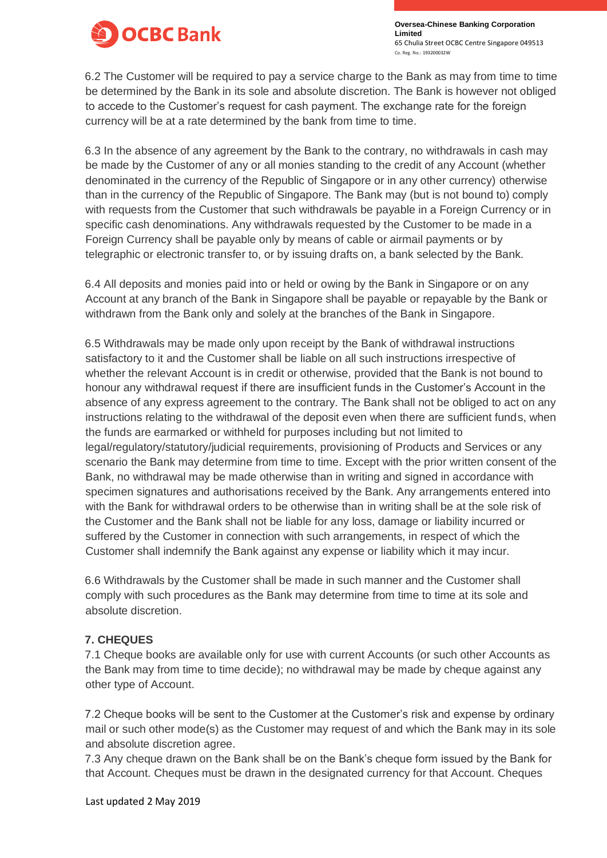

6.2 The Customer will be required to pay a service charge to the Bank as may from time to time be determined by the Bank in its sole and absolute discretion. The Bank is however not obliged to accede to the Customer's request for cash payment. The exchange rate for the foreign currency will be at a rate determined by the bank from time to time.

6.3 In the absence of any agreement by the Bank to the contrary, no withdrawals in cash may be made by the Customer of any or all monies standing to the credit of any Account (whether denominated in the currency of the Republic of Singapore or in any other currency) otherwise than in the currency of the Republic of Singapore. The Bank may (but is not bound to) comply with requests from the Customer that such withdrawals be payable in a Foreign Currency or in specific cash denominations. Any withdrawals requested by the Customer to be made in a Foreign Currency shall be payable only by means of cable or airmail payments or by telegraphic or electronic transfer to, or by issuing drafts on, a bank selected by the Bank.

6.4 All deposits and monies paid into or held or owing by the Bank in Singapore or on any Account at any branch of the Bank in Singapore shall be payable or repayable by the Bank or withdrawn from the Bank only and solely at the branches of the Bank in Singapore.

6.5 Withdrawals may be made only upon receipt by the Bank of withdrawal instructions satisfactory to it and the Customer shall be liable on all such instructions irrespective of whether the relevant Account is in credit or otherwise, provided that the Bank is not bound to honour any withdrawal request if there are insufficient funds in the Customer's Account in the absence of any express agreement to the contrary. The Bank shall not be obliged to act on any instructions relating to the withdrawal of the deposit even when there are sufficient funds, when the funds are earmarked or withheld for purposes including but not limited to legal/regulatory/statutory/judicial requirements, provisioning of Products and Services or any scenario the Bank may determine from time to time. Except with the prior written consent of the Bank, no withdrawal may be made otherwise than in writing and signed in accordance with specimen signatures and authorisations received by the Bank. Any arrangements entered into with the Bank for withdrawal orders to be otherwise than in writing shall be at the sole risk of the Customer and the Bank shall not be liable for any loss, damage or liability incurred or suffered by the Customer in connection with such arrangements, in respect of which the Customer shall indemnify the Bank against any expense or liability which it may incur.

6.6 Withdrawals by the Customer shall be made in such manner and the Customer shall comply with such procedures as the Bank may determine from time to time at its sole and absolute discretion.

## **7. CHEQUES**

7.1 Cheque books are available only for use with current Accounts (or such other Accounts as the Bank may from time to time decide); no withdrawal may be made by cheque against any other type of Account.

7.2 Cheque books will be sent to the Customer at the Customer's risk and expense by ordinary mail or such other mode(s) as the Customer may request of and which the Bank may in its sole and absolute discretion agree.

7.3 Any cheque drawn on the Bank shall be on the Bank's cheque form issued by the Bank for that Account. Cheques must be drawn in the designated currency for that Account. Cheques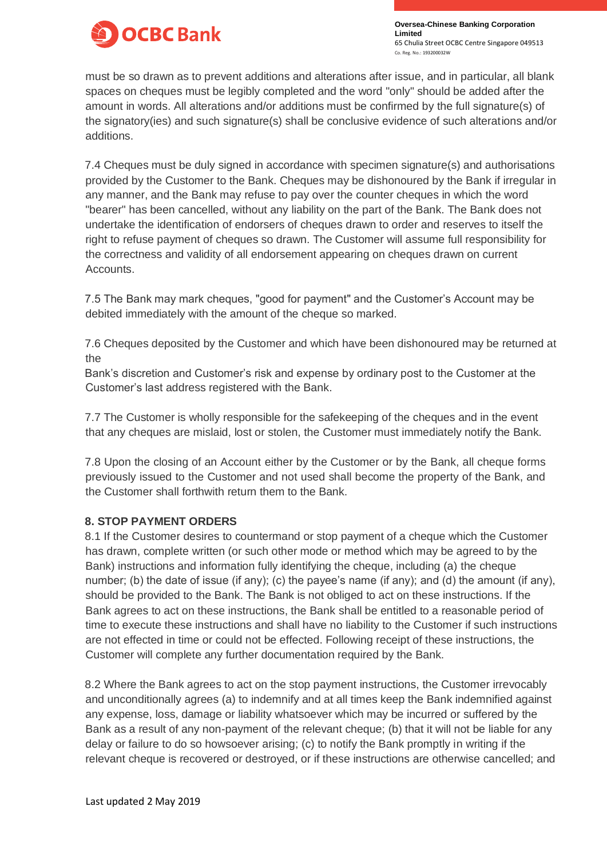

must be so drawn as to prevent additions and alterations after issue, and in particular, all blank spaces on cheques must be legibly completed and the word "only" should be added after the amount in words. All alterations and/or additions must be confirmed by the full signature(s) of the signatory(ies) and such signature(s) shall be conclusive evidence of such alterations and/or additions.

7.4 Cheques must be duly signed in accordance with specimen signature(s) and authorisations provided by the Customer to the Bank. Cheques may be dishonoured by the Bank if irregular in any manner, and the Bank may refuse to pay over the counter cheques in which the word "bearer" has been cancelled, without any liability on the part of the Bank. The Bank does not undertake the identification of endorsers of cheques drawn to order and reserves to itself the right to refuse payment of cheques so drawn. The Customer will assume full responsibility for the correctness and validity of all endorsement appearing on cheques drawn on current Accounts.

7.5 The Bank may mark cheques, "good for payment" and the Customer's Account may be debited immediately with the amount of the cheque so marked.

7.6 Cheques deposited by the Customer and which have been dishonoured may be returned at the

Bank's discretion and Customer's risk and expense by ordinary post to the Customer at the Customer's last address registered with the Bank.

7.7 The Customer is wholly responsible for the safekeeping of the cheques and in the event that any cheques are mislaid, lost or stolen, the Customer must immediately notify the Bank.

7.8 Upon the closing of an Account either by the Customer or by the Bank, all cheque forms previously issued to the Customer and not used shall become the property of the Bank, and the Customer shall forthwith return them to the Bank.

## **8. STOP PAYMENT ORDERS**

8.1 If the Customer desires to countermand or stop payment of a cheque which the Customer has drawn, complete written (or such other mode or method which may be agreed to by the Bank) instructions and information fully identifying the cheque, including (a) the cheque number; (b) the date of issue (if any); (c) the payee's name (if any); and (d) the amount (if any), should be provided to the Bank. The Bank is not obliged to act on these instructions. If the Bank agrees to act on these instructions, the Bank shall be entitled to a reasonable period of time to execute these instructions and shall have no liability to the Customer if such instructions are not effected in time or could not be effected. Following receipt of these instructions, the Customer will complete any further documentation required by the Bank.

8.2 Where the Bank agrees to act on the stop payment instructions, the Customer irrevocably and unconditionally agrees (a) to indemnify and at all times keep the Bank indemnified against any expense, loss, damage or liability whatsoever which may be incurred or suffered by the Bank as a result of any non-payment of the relevant cheque; (b) that it will not be liable for any delay or failure to do so howsoever arising; (c) to notify the Bank promptly in writing if the relevant cheque is recovered or destroyed, or if these instructions are otherwise cancelled; and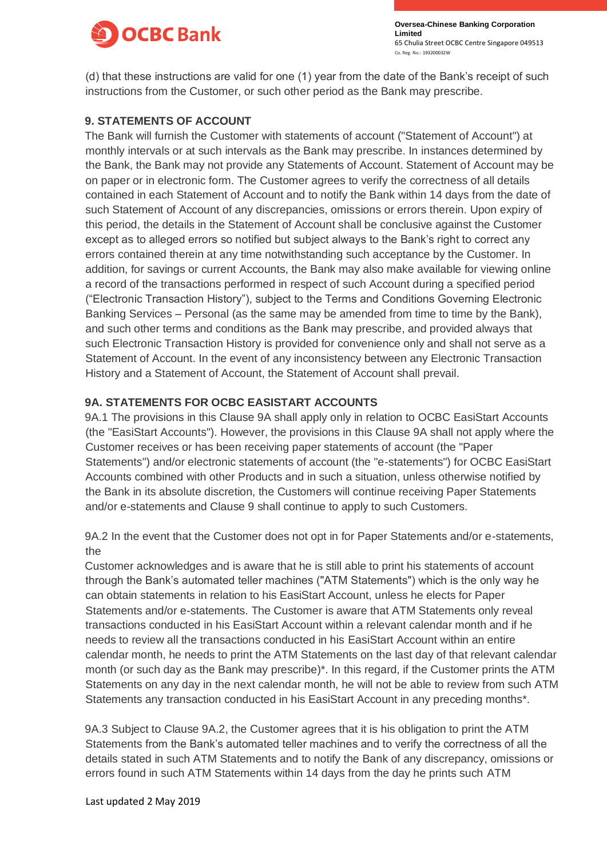

(d) that these instructions are valid for one (1) year from the date of the Bank's receipt of such instructions from the Customer, or such other period as the Bank may prescribe.

## **9. STATEMENTS OF ACCOUNT**

The Bank will furnish the Customer with statements of account ("Statement of Account") at monthly intervals or at such intervals as the Bank may prescribe. In instances determined by the Bank, the Bank may not provide any Statements of Account. Statement of Account may be on paper or in electronic form. The Customer agrees to verify the correctness of all details contained in each Statement of Account and to notify the Bank within 14 days from the date of such Statement of Account of any discrepancies, omissions or errors therein. Upon expiry of this period, the details in the Statement of Account shall be conclusive against the Customer except as to alleged errors so notified but subject always to the Bank's right to correct any errors contained therein at any time notwithstanding such acceptance by the Customer. In addition, for savings or current Accounts, the Bank may also make available for viewing online a record of the transactions performed in respect of such Account during a specified period ("Electronic Transaction History"), subject to the Terms and Conditions Governing Electronic Banking Services – Personal (as the same may be amended from time to time by the Bank), and such other terms and conditions as the Bank may prescribe, and provided always that such Electronic Transaction History is provided for convenience only and shall not serve as a Statement of Account. In the event of any inconsistency between any Electronic Transaction History and a Statement of Account, the Statement of Account shall prevail.

## **9A. STATEMENTS FOR OCBC EASISTART ACCOUNTS**

9A.1 The provisions in this Clause 9A shall apply only in relation to OCBC EasiStart Accounts (the "EasiStart Accounts"). However, the provisions in this Clause 9A shall not apply where the Customer receives or has been receiving paper statements of account (the "Paper Statements") and/or electronic statements of account (the "e-statements") for OCBC EasiStart Accounts combined with other Products and in such a situation, unless otherwise notified by the Bank in its absolute discretion, the Customers will continue receiving Paper Statements and/or e-statements and Clause 9 shall continue to apply to such Customers.

9A.2 In the event that the Customer does not opt in for Paper Statements and/or e-statements, the

Customer acknowledges and is aware that he is still able to print his statements of account through the Bank's automated teller machines ("ATM Statements") which is the only way he can obtain statements in relation to his EasiStart Account, unless he elects for Paper Statements and/or e-statements. The Customer is aware that ATM Statements only reveal transactions conducted in his EasiStart Account within a relevant calendar month and if he needs to review all the transactions conducted in his EasiStart Account within an entire calendar month, he needs to print the ATM Statements on the last day of that relevant calendar month (or such day as the Bank may prescribe)\*. In this regard, if the Customer prints the ATM Statements on any day in the next calendar month, he will not be able to review from such ATM Statements any transaction conducted in his EasiStart Account in any preceding months\*.

9A.3 Subject to Clause 9A.2, the Customer agrees that it is his obligation to print the ATM Statements from the Bank's automated teller machines and to verify the correctness of all the details stated in such ATM Statements and to notify the Bank of any discrepancy, omissions or errors found in such ATM Statements within 14 days from the day he prints such ATM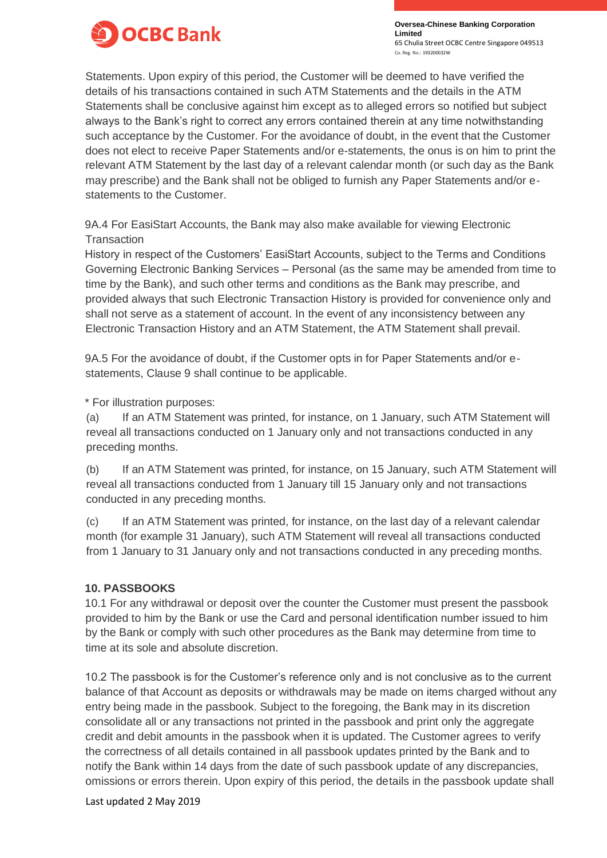

Statements. Upon expiry of this period, the Customer will be deemed to have verified the details of his transactions contained in such ATM Statements and the details in the ATM Statements shall be conclusive against him except as to alleged errors so notified but subject always to the Bank's right to correct any errors contained therein at any time notwithstanding such acceptance by the Customer. For the avoidance of doubt, in the event that the Customer does not elect to receive Paper Statements and/or e-statements, the onus is on him to print the relevant ATM Statement by the last day of a relevant calendar month (or such day as the Bank may prescribe) and the Bank shall not be obliged to furnish any Paper Statements and/or estatements to the Customer.

9A.4 For EasiStart Accounts, the Bank may also make available for viewing Electronic **Transaction** 

History in respect of the Customers' EasiStart Accounts, subject to the Terms and Conditions Governing Electronic Banking Services – Personal (as the same may be amended from time to time by the Bank), and such other terms and conditions as the Bank may prescribe, and provided always that such Electronic Transaction History is provided for convenience only and shall not serve as a statement of account. In the event of any inconsistency between any Electronic Transaction History and an ATM Statement, the ATM Statement shall prevail.

9A.5 For the avoidance of doubt, if the Customer opts in for Paper Statements and/or estatements, Clause 9 shall continue to be applicable.

\* For illustration purposes:

(a) If an ATM Statement was printed, for instance, on 1 January, such ATM Statement will reveal all transactions conducted on 1 January only and not transactions conducted in any preceding months.

(b) If an ATM Statement was printed, for instance, on 15 January, such ATM Statement will reveal all transactions conducted from 1 January till 15 January only and not transactions conducted in any preceding months.

(c) If an ATM Statement was printed, for instance, on the last day of a relevant calendar month (for example 31 January), such ATM Statement will reveal all transactions conducted from 1 January to 31 January only and not transactions conducted in any preceding months.

### **10. PASSBOOKS**

10.1 For any withdrawal or deposit over the counter the Customer must present the passbook provided to him by the Bank or use the Card and personal identification number issued to him by the Bank or comply with such other procedures as the Bank may determine from time to time at its sole and absolute discretion.

10.2 The passbook is for the Customer's reference only and is not conclusive as to the current balance of that Account as deposits or withdrawals may be made on items charged without any entry being made in the passbook. Subject to the foregoing, the Bank may in its discretion consolidate all or any transactions not printed in the passbook and print only the aggregate credit and debit amounts in the passbook when it is updated. The Customer agrees to verify the correctness of all details contained in all passbook updates printed by the Bank and to notify the Bank within 14 days from the date of such passbook update of any discrepancies, omissions or errors therein. Upon expiry of this period, the details in the passbook update shall

Last updated 2 May 2019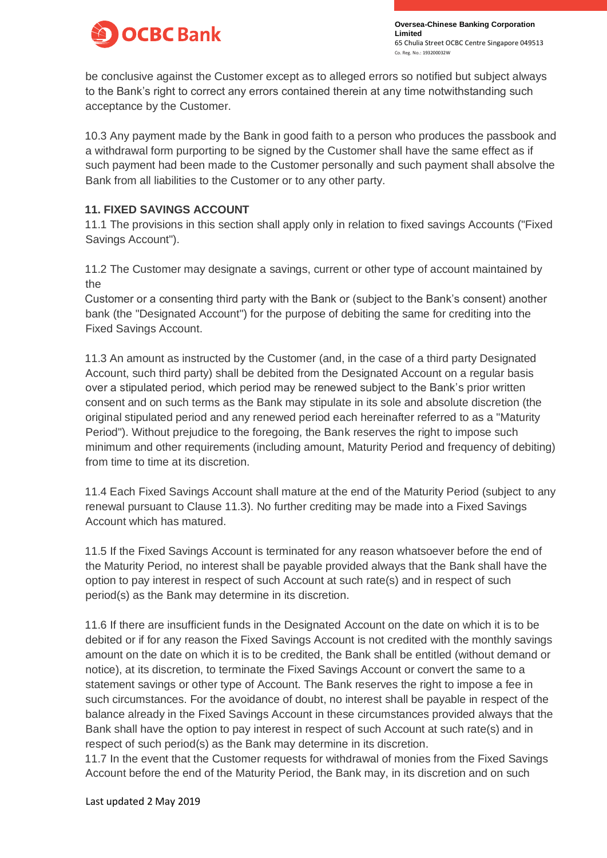

be conclusive against the Customer except as to alleged errors so notified but subject always to the Bank's right to correct any errors contained therein at any time notwithstanding such acceptance by the Customer.

10.3 Any payment made by the Bank in good faith to a person who produces the passbook and a withdrawal form purporting to be signed by the Customer shall have the same effect as if such payment had been made to the Customer personally and such payment shall absolve the Bank from all liabilities to the Customer or to any other party.

### **11. FIXED SAVINGS ACCOUNT**

11.1 The provisions in this section shall apply only in relation to fixed savings Accounts ("Fixed Savings Account").

11.2 The Customer may designate a savings, current or other type of account maintained by the

Customer or a consenting third party with the Bank or (subject to the Bank's consent) another bank (the "Designated Account") for the purpose of debiting the same for crediting into the Fixed Savings Account.

11.3 An amount as instructed by the Customer (and, in the case of a third party Designated Account, such third party) shall be debited from the Designated Account on a regular basis over a stipulated period, which period may be renewed subject to the Bank's prior written consent and on such terms as the Bank may stipulate in its sole and absolute discretion (the original stipulated period and any renewed period each hereinafter referred to as a "Maturity Period"). Without prejudice to the foregoing, the Bank reserves the right to impose such minimum and other requirements (including amount, Maturity Period and frequency of debiting) from time to time at its discretion.

11.4 Each Fixed Savings Account shall mature at the end of the Maturity Period (subject to any renewal pursuant to Clause 11.3). No further crediting may be made into a Fixed Savings Account which has matured.

11.5 If the Fixed Savings Account is terminated for any reason whatsoever before the end of the Maturity Period, no interest shall be payable provided always that the Bank shall have the option to pay interest in respect of such Account at such rate(s) and in respect of such period(s) as the Bank may determine in its discretion.

11.6 If there are insufficient funds in the Designated Account on the date on which it is to be debited or if for any reason the Fixed Savings Account is not credited with the monthly savings amount on the date on which it is to be credited, the Bank shall be entitled (without demand or notice), at its discretion, to terminate the Fixed Savings Account or convert the same to a statement savings or other type of Account. The Bank reserves the right to impose a fee in such circumstances. For the avoidance of doubt, no interest shall be payable in respect of the balance already in the Fixed Savings Account in these circumstances provided always that the Bank shall have the option to pay interest in respect of such Account at such rate(s) and in respect of such period(s) as the Bank may determine in its discretion.

11.7 In the event that the Customer requests for withdrawal of monies from the Fixed Savings Account before the end of the Maturity Period, the Bank may, in its discretion and on such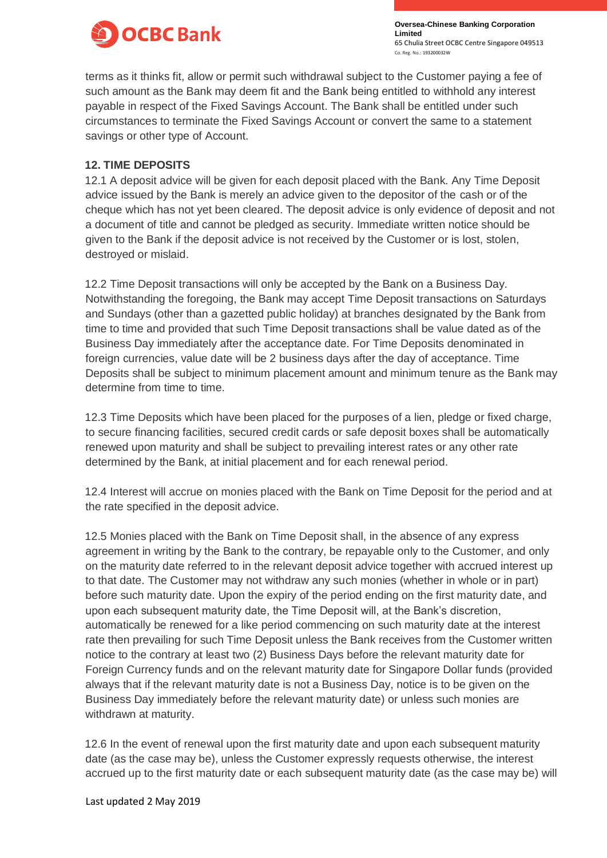

terms as it thinks fit, allow or permit such withdrawal subject to the Customer paying a fee of such amount as the Bank may deem fit and the Bank being entitled to withhold any interest payable in respect of the Fixed Savings Account. The Bank shall be entitled under such circumstances to terminate the Fixed Savings Account or convert the same to a statement savings or other type of Account.

### **12. TIME DEPOSITS**

12.1 A deposit advice will be given for each deposit placed with the Bank. Any Time Deposit advice issued by the Bank is merely an advice given to the depositor of the cash or of the cheque which has not yet been cleared. The deposit advice is only evidence of deposit and not a document of title and cannot be pledged as security. Immediate written notice should be given to the Bank if the deposit advice is not received by the Customer or is lost, stolen, destroyed or mislaid.

12.2 Time Deposit transactions will only be accepted by the Bank on a Business Day. Notwithstanding the foregoing, the Bank may accept Time Deposit transactions on Saturdays and Sundays (other than a gazetted public holiday) at branches designated by the Bank from time to time and provided that such Time Deposit transactions shall be value dated as of the Business Day immediately after the acceptance date. For Time Deposits denominated in foreign currencies, value date will be 2 business days after the day of acceptance. Time Deposits shall be subject to minimum placement amount and minimum tenure as the Bank may determine from time to time.

12.3 Time Deposits which have been placed for the purposes of a lien, pledge or fixed charge, to secure financing facilities, secured credit cards or safe deposit boxes shall be automatically renewed upon maturity and shall be subject to prevailing interest rates or any other rate determined by the Bank, at initial placement and for each renewal period.

12.4 Interest will accrue on monies placed with the Bank on Time Deposit for the period and at the rate specified in the deposit advice.

12.5 Monies placed with the Bank on Time Deposit shall, in the absence of any express agreement in writing by the Bank to the contrary, be repayable only to the Customer, and only on the maturity date referred to in the relevant deposit advice together with accrued interest up to that date. The Customer may not withdraw any such monies (whether in whole or in part) before such maturity date. Upon the expiry of the period ending on the first maturity date, and upon each subsequent maturity date, the Time Deposit will, at the Bank's discretion, automatically be renewed for a like period commencing on such maturity date at the interest rate then prevailing for such Time Deposit unless the Bank receives from the Customer written notice to the contrary at least two (2) Business Days before the relevant maturity date for Foreign Currency funds and on the relevant maturity date for Singapore Dollar funds (provided always that if the relevant maturity date is not a Business Day, notice is to be given on the Business Day immediately before the relevant maturity date) or unless such monies are withdrawn at maturity.

12.6 In the event of renewal upon the first maturity date and upon each subsequent maturity date (as the case may be), unless the Customer expressly requests otherwise, the interest accrued up to the first maturity date or each subsequent maturity date (as the case may be) will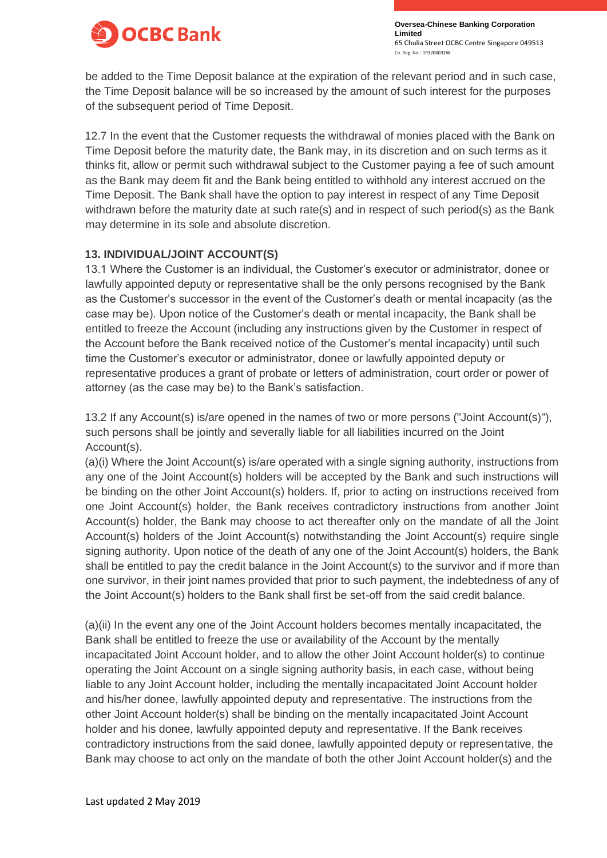

be added to the Time Deposit balance at the expiration of the relevant period and in such case, the Time Deposit balance will be so increased by the amount of such interest for the purposes of the subsequent period of Time Deposit.

12.7 In the event that the Customer requests the withdrawal of monies placed with the Bank on Time Deposit before the maturity date, the Bank may, in its discretion and on such terms as it thinks fit, allow or permit such withdrawal subject to the Customer paying a fee of such amount as the Bank may deem fit and the Bank being entitled to withhold any interest accrued on the Time Deposit. The Bank shall have the option to pay interest in respect of any Time Deposit withdrawn before the maturity date at such rate(s) and in respect of such period(s) as the Bank may determine in its sole and absolute discretion.

### **13. INDIVIDUAL/JOINT ACCOUNT(S)**

13.1 Where the Customer is an individual, the Customer's executor or administrator, donee or lawfully appointed deputy or representative shall be the only persons recognised by the Bank as the Customer's successor in the event of the Customer's death or mental incapacity (as the case may be). Upon notice of the Customer's death or mental incapacity, the Bank shall be entitled to freeze the Account (including any instructions given by the Customer in respect of the Account before the Bank received notice of the Customer's mental incapacity) until such time the Customer's executor or administrator, donee or lawfully appointed deputy or representative produces a grant of probate or letters of administration, court order or power of attorney (as the case may be) to the Bank's satisfaction.

13.2 If any Account(s) is/are opened in the names of two or more persons ("Joint Account(s)"), such persons shall be jointly and severally liable for all liabilities incurred on the Joint Account(s).

(a)(i) Where the Joint Account(s) is/are operated with a single signing authority, instructions from any one of the Joint Account(s) holders will be accepted by the Bank and such instructions will be binding on the other Joint Account(s) holders. If, prior to acting on instructions received from one Joint Account(s) holder, the Bank receives contradictory instructions from another Joint Account(s) holder, the Bank may choose to act thereafter only on the mandate of all the Joint Account(s) holders of the Joint Account(s) notwithstanding the Joint Account(s) require single signing authority. Upon notice of the death of any one of the Joint Account(s) holders, the Bank shall be entitled to pay the credit balance in the Joint Account(s) to the survivor and if more than one survivor, in their joint names provided that prior to such payment, the indebtedness of any of the Joint Account(s) holders to the Bank shall first be set-off from the said credit balance.

(a)(ii) In the event any one of the Joint Account holders becomes mentally incapacitated, the Bank shall be entitled to freeze the use or availability of the Account by the mentally incapacitated Joint Account holder, and to allow the other Joint Account holder(s) to continue operating the Joint Account on a single signing authority basis, in each case, without being liable to any Joint Account holder, including the mentally incapacitated Joint Account holder and his/her donee, lawfully appointed deputy and representative. The instructions from the other Joint Account holder(s) shall be binding on the mentally incapacitated Joint Account holder and his donee, lawfully appointed deputy and representative. If the Bank receives contradictory instructions from the said donee, lawfully appointed deputy or representative, the Bank may choose to act only on the mandate of both the other Joint Account holder(s) and the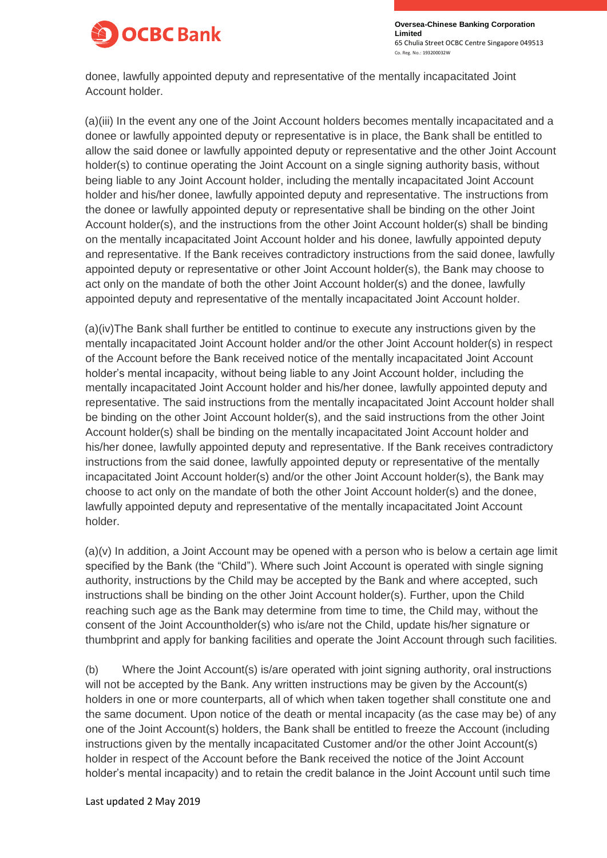

donee, lawfully appointed deputy and representative of the mentally incapacitated Joint Account holder.

(a)(iii) In the event any one of the Joint Account holders becomes mentally incapacitated and a donee or lawfully appointed deputy or representative is in place, the Bank shall be entitled to allow the said donee or lawfully appointed deputy or representative and the other Joint Account holder(s) to continue operating the Joint Account on a single signing authority basis, without being liable to any Joint Account holder, including the mentally incapacitated Joint Account holder and his/her donee, lawfully appointed deputy and representative. The instructions from the donee or lawfully appointed deputy or representative shall be binding on the other Joint Account holder(s), and the instructions from the other Joint Account holder(s) shall be binding on the mentally incapacitated Joint Account holder and his donee, lawfully appointed deputy and representative. If the Bank receives contradictory instructions from the said donee, lawfully appointed deputy or representative or other Joint Account holder(s), the Bank may choose to act only on the mandate of both the other Joint Account holder(s) and the donee, lawfully appointed deputy and representative of the mentally incapacitated Joint Account holder.

(a)(iv)The Bank shall further be entitled to continue to execute any instructions given by the mentally incapacitated Joint Account holder and/or the other Joint Account holder(s) in respect of the Account before the Bank received notice of the mentally incapacitated Joint Account holder's mental incapacity, without being liable to any Joint Account holder, including the mentally incapacitated Joint Account holder and his/her donee, lawfully appointed deputy and representative. The said instructions from the mentally incapacitated Joint Account holder shall be binding on the other Joint Account holder(s), and the said instructions from the other Joint Account holder(s) shall be binding on the mentally incapacitated Joint Account holder and his/her donee, lawfully appointed deputy and representative. If the Bank receives contradictory instructions from the said donee, lawfully appointed deputy or representative of the mentally incapacitated Joint Account holder(s) and/or the other Joint Account holder(s), the Bank may choose to act only on the mandate of both the other Joint Account holder(s) and the donee, lawfully appointed deputy and representative of the mentally incapacitated Joint Account holder.

(a)(v) In addition, a Joint Account may be opened with a person who is below a certain age limit specified by the Bank (the "Child"). Where such Joint Account is operated with single signing authority, instructions by the Child may be accepted by the Bank and where accepted, such instructions shall be binding on the other Joint Account holder(s). Further, upon the Child reaching such age as the Bank may determine from time to time, the Child may, without the consent of the Joint Accountholder(s) who is/are not the Child, update his/her signature or thumbprint and apply for banking facilities and operate the Joint Account through such facilities.

(b) Where the Joint Account(s) is/are operated with joint signing authority, oral instructions will not be accepted by the Bank. Any written instructions may be given by the Account(s) holders in one or more counterparts, all of which when taken together shall constitute one and the same document. Upon notice of the death or mental incapacity (as the case may be) of any one of the Joint Account(s) holders, the Bank shall be entitled to freeze the Account (including instructions given by the mentally incapacitated Customer and/or the other Joint Account(s) holder in respect of the Account before the Bank received the notice of the Joint Account holder's mental incapacity) and to retain the credit balance in the Joint Account until such time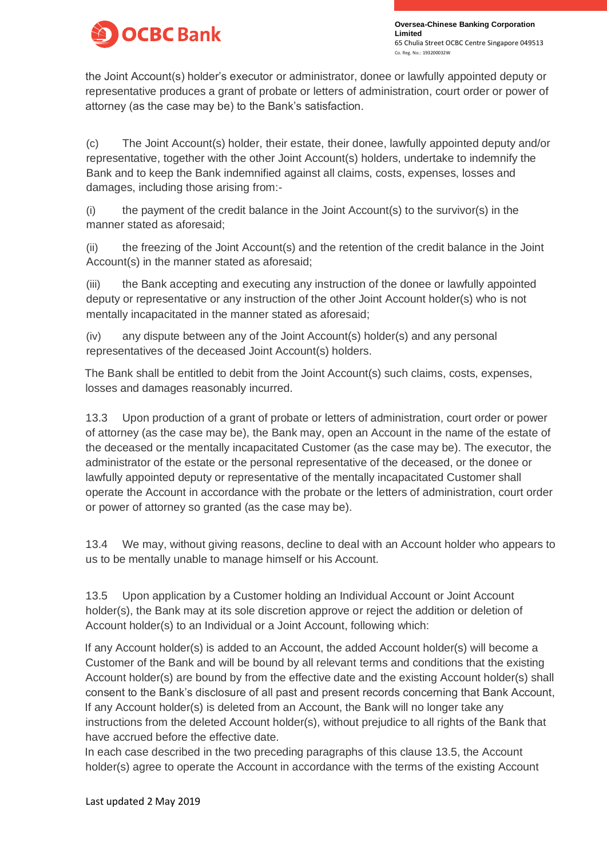

the Joint Account(s) holder's executor or administrator, donee or lawfully appointed deputy or representative produces a grant of probate or letters of administration, court order or power of attorney (as the case may be) to the Bank's satisfaction.

(c) The Joint Account(s) holder, their estate, their donee, lawfully appointed deputy and/or representative, together with the other Joint Account(s) holders, undertake to indemnify the Bank and to keep the Bank indemnified against all claims, costs, expenses, losses and damages, including those arising from:-

(i) the payment of the credit balance in the Joint Account(s) to the survivor(s) in the manner stated as aforesaid;

(ii) the freezing of the Joint Account(s) and the retention of the credit balance in the Joint Account(s) in the manner stated as aforesaid;

(iii) the Bank accepting and executing any instruction of the donee or lawfully appointed deputy or representative or any instruction of the other Joint Account holder(s) who is not mentally incapacitated in the manner stated as aforesaid;

(iv) any dispute between any of the Joint Account(s) holder(s) and any personal representatives of the deceased Joint Account(s) holders.

The Bank shall be entitled to debit from the Joint Account(s) such claims, costs, expenses, losses and damages reasonably incurred.

13.3 Upon production of a grant of probate or letters of administration, court order or power of attorney (as the case may be), the Bank may, open an Account in the name of the estate of the deceased or the mentally incapacitated Customer (as the case may be). The executor, the administrator of the estate or the personal representative of the deceased, or the donee or lawfully appointed deputy or representative of the mentally incapacitated Customer shall operate the Account in accordance with the probate or the letters of administration, court order or power of attorney so granted (as the case may be).

13.4 We may, without giving reasons, decline to deal with an Account holder who appears to us to be mentally unable to manage himself or his Account.

13.5 Upon application by a Customer holding an Individual Account or Joint Account holder(s), the Bank may at its sole discretion approve or reject the addition or deletion of Account holder(s) to an Individual or a Joint Account, following which:

If any Account holder(s) is added to an Account, the added Account holder(s) will become a Customer of the Bank and will be bound by all relevant terms and conditions that the existing Account holder(s) are bound by from the effective date and the existing Account holder(s) shall consent to the Bank's disclosure of all past and present records concerning that Bank Account, If any Account holder(s) is deleted from an Account, the Bank will no longer take any instructions from the deleted Account holder(s), without prejudice to all rights of the Bank that have accrued before the effective date.

In each case described in the two preceding paragraphs of this clause 13.5, the Account holder(s) agree to operate the Account in accordance with the terms of the existing Account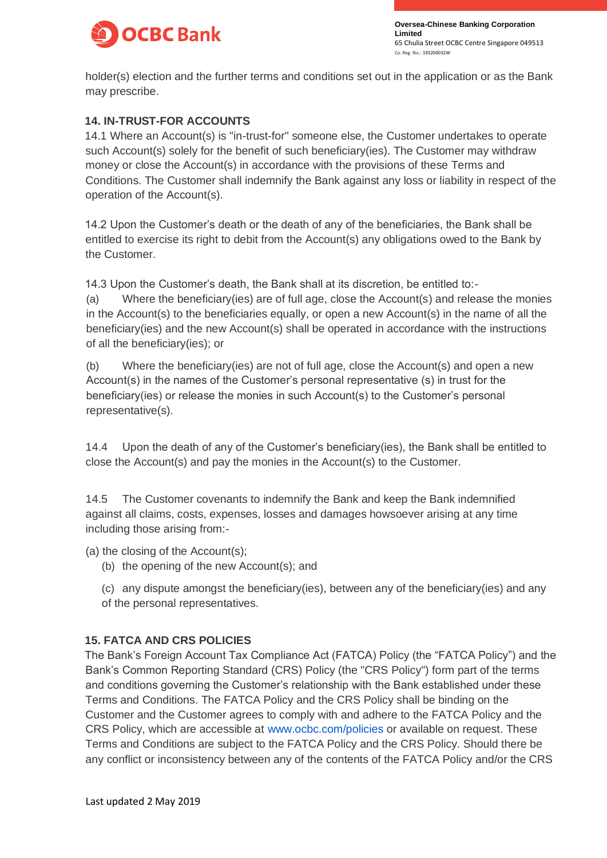

holder(s) election and the further terms and conditions set out in the application or as the Bank may prescribe.

### **14. IN-TRUST-FOR ACCOUNTS**

14.1 Where an Account(s) is "in-trust-for" someone else, the Customer undertakes to operate such Account(s) solely for the benefit of such beneficiary(ies). The Customer may withdraw money or close the Account(s) in accordance with the provisions of these Terms and Conditions. The Customer shall indemnify the Bank against any loss or liability in respect of the operation of the Account(s).

14.2 Upon the Customer's death or the death of any of the beneficiaries, the Bank shall be entitled to exercise its right to debit from the Account(s) any obligations owed to the Bank by the Customer.

14.3 Upon the Customer's death, the Bank shall at its discretion, be entitled to:-

(a) Where the beneficiary(ies) are of full age, close the Account(s) and release the monies in the Account(s) to the beneficiaries equally, or open a new Account(s) in the name of all the beneficiary(ies) and the new Account(s) shall be operated in accordance with the instructions of all the beneficiary(ies); or

(b) Where the beneficiary(ies) are not of full age, close the Account(s) and open a new Account(s) in the names of the Customer's personal representative (s) in trust for the beneficiary(ies) or release the monies in such Account(s) to the Customer's personal representative(s).

14.4 Upon the death of any of the Customer's beneficiary(ies), the Bank shall be entitled to close the Account(s) and pay the monies in the Account(s) to the Customer.

14.5 The Customer covenants to indemnify the Bank and keep the Bank indemnified against all claims, costs, expenses, losses and damages howsoever arising at any time including those arising from:-

(a) the closing of the Account(s);

(b) the opening of the new Account(s); and

(c) any dispute amongst the beneficiary(ies), between any of the beneficiary(ies) and any of the personal representatives.

### **15. FATCA AND CRS POLICIES**

The Bank's Foreign Account Tax Compliance Act (FATCA) Policy (the "FATCA Policy") and the Bank's Common Reporting Standard (CRS) Policy (the "CRS Policy") form part of the terms and conditions governing the Customer's relationship with the Bank established under these Terms and Conditions. The FATCA Policy and the CRS Policy shall be binding on the Customer and the Customer agrees to comply with and adhere to the FATCA Policy and the CRS Policy, which are accessible at [www.ocbc.com/policies](https://www.ocbc.com/personal-banking/accounts/www.ocbc.com/policies) or available on request. These Terms and Conditions are subject to the FATCA Policy and the CRS Policy. Should there be any conflict or inconsistency between any of the contents of the FATCA Policy and/or the CRS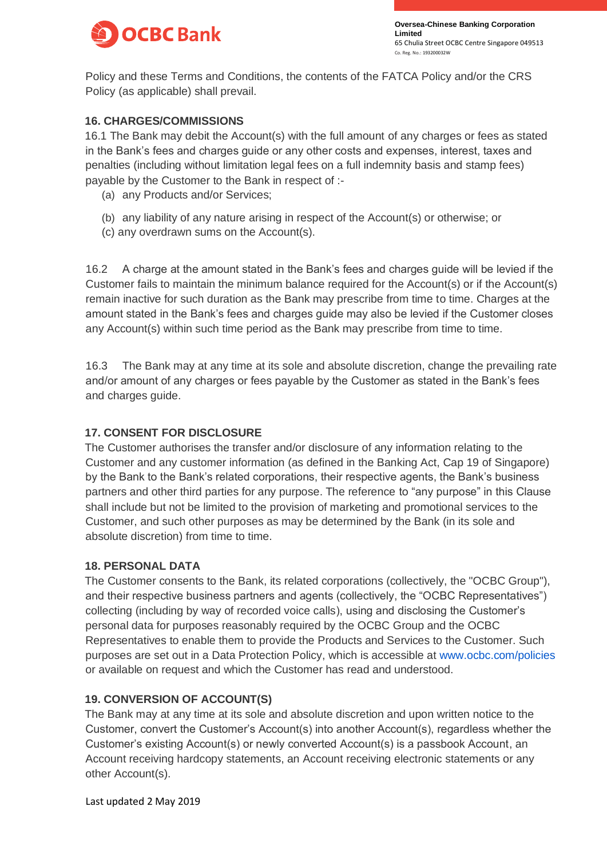

Policy and these Terms and Conditions, the contents of the FATCA Policy and/or the CRS Policy (as applicable) shall prevail.

### **16. CHARGES/COMMISSIONS**

16.1 The Bank may debit the Account(s) with the full amount of any charges or fees as stated in the Bank's fees and charges guide or any other costs and expenses, interest, taxes and penalties (including without limitation legal fees on a full indemnity basis and stamp fees) payable by the Customer to the Bank in respect of :-

- (a) any Products and/or Services;
- (b) any liability of any nature arising in respect of the Account(s) or otherwise; or
- (c) any overdrawn sums on the Account(s).

16.2 A charge at the amount stated in the Bank's fees and charges guide will be levied if the Customer fails to maintain the minimum balance required for the Account(s) or if the Account(s) remain inactive for such duration as the Bank may prescribe from time to time. Charges at the amount stated in the Bank's fees and charges guide may also be levied if the Customer closes any Account(s) within such time period as the Bank may prescribe from time to time.

16.3 The Bank may at any time at its sole and absolute discretion, change the prevailing rate and/or amount of any charges or fees payable by the Customer as stated in the Bank's fees and charges guide.

## **17. CONSENT FOR DISCLOSURE**

The Customer authorises the transfer and/or disclosure of any information relating to the Customer and any customer information (as defined in the Banking Act, Cap 19 of Singapore) by the Bank to the Bank's related corporations, their respective agents, the Bank's business partners and other third parties for any purpose. The reference to "any purpose" in this Clause shall include but not be limited to the provision of marketing and promotional services to the Customer, and such other purposes as may be determined by the Bank (in its sole and absolute discretion) from time to time.

### **18. PERSONAL DATA**

The Customer consents to the Bank, its related corporations (collectively, the "OCBC Group"), and their respective business partners and agents (collectively, the "OCBC Representatives") collecting (including by way of recorded voice calls), using and disclosing the Customer's personal data for purposes reasonably required by the OCBC Group and the OCBC Representatives to enable them to provide the Products and Services to the Customer. Such purposes are set out in a Data Protection Policy, which is accessible at [www.ocbc.com/policies](http://www.ocbc.com/policies) or available on request and which the Customer has read and understood.

## **19. CONVERSION OF ACCOUNT(S)**

The Bank may at any time at its sole and absolute discretion and upon written notice to the Customer, convert the Customer's Account(s) into another Account(s), regardless whether the Customer's existing Account(s) or newly converted Account(s) is a passbook Account, an Account receiving hardcopy statements, an Account receiving electronic statements or any other Account(s).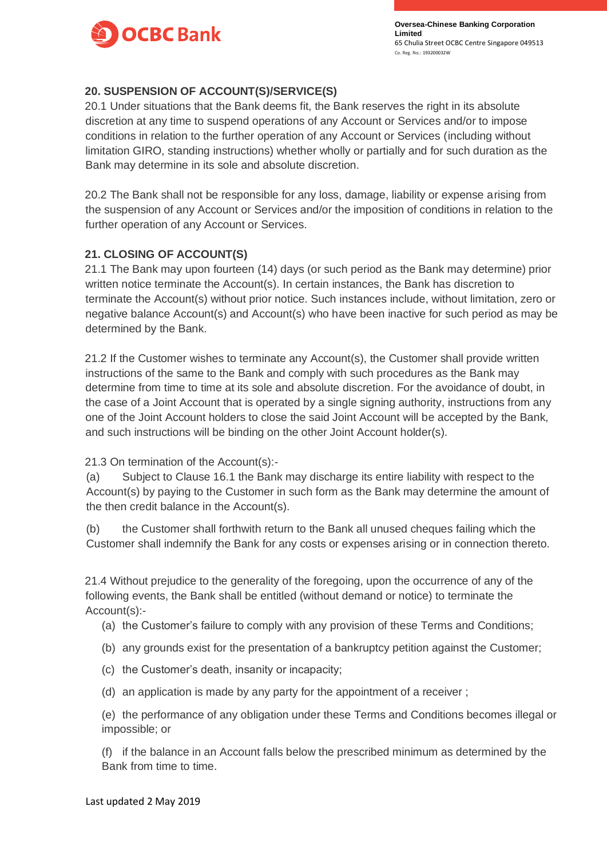

### **20. SUSPENSION OF ACCOUNT(S)/SERVICE(S)**

20.1 Under situations that the Bank deems fit, the Bank reserves the right in its absolute discretion at any time to suspend operations of any Account or Services and/or to impose conditions in relation to the further operation of any Account or Services (including without limitation GIRO, standing instructions) whether wholly or partially and for such duration as the Bank may determine in its sole and absolute discretion.

20.2 The Bank shall not be responsible for any loss, damage, liability or expense arising from the suspension of any Account or Services and/or the imposition of conditions in relation to the further operation of any Account or Services.

### **21. CLOSING OF ACCOUNT(S)**

21.1 The Bank may upon fourteen (14) days (or such period as the Bank may determine) prior written notice terminate the Account(s). In certain instances, the Bank has discretion to terminate the Account(s) without prior notice. Such instances include, without limitation, zero or negative balance Account(s) and Account(s) who have been inactive for such period as may be determined by the Bank.

21.2 If the Customer wishes to terminate any Account(s), the Customer shall provide written instructions of the same to the Bank and comply with such procedures as the Bank may determine from time to time at its sole and absolute discretion. For the avoidance of doubt, in the case of a Joint Account that is operated by a single signing authority, instructions from any one of the Joint Account holders to close the said Joint Account will be accepted by the Bank, and such instructions will be binding on the other Joint Account holder(s).

21.3 On termination of the Account(s):-

(a) Subject to Clause 16.1 the Bank may discharge its entire liability with respect to the Account(s) by paying to the Customer in such form as the Bank may determine the amount of the then credit balance in the Account(s).

(b) the Customer shall forthwith return to the Bank all unused cheques failing which the Customer shall indemnify the Bank for any costs or expenses arising or in connection thereto.

21.4 Without prejudice to the generality of the foregoing, upon the occurrence of any of the following events, the Bank shall be entitled (without demand or notice) to terminate the Account(s):-

- (a) the Customer's failure to comply with any provision of these Terms and Conditions;
- (b) any grounds exist for the presentation of a bankruptcy petition against the Customer;
- (c) the Customer's death, insanity or incapacity;
- (d) an application is made by any party for the appointment of a receiver ;

(e) the performance of any obligation under these Terms and Conditions becomes illegal or impossible; or

(f) if the balance in an Account falls below the prescribed minimum as determined by the Bank from time to time.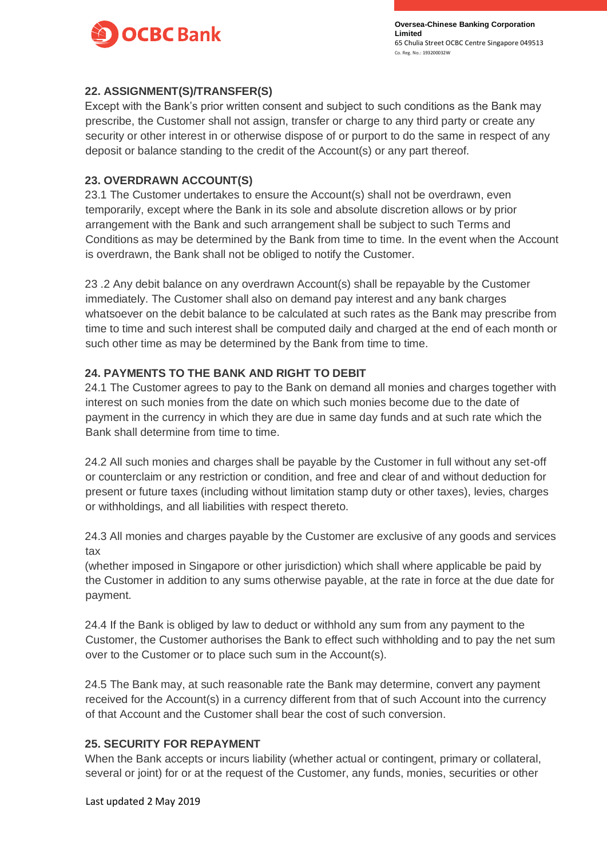

### **22. ASSIGNMENT(S)/TRANSFER(S)**

Except with the Bank's prior written consent and subject to such conditions as the Bank may prescribe, the Customer shall not assign, transfer or charge to any third party or create any security or other interest in or otherwise dispose of or purport to do the same in respect of any deposit or balance standing to the credit of the Account(s) or any part thereof.

### **23. OVERDRAWN ACCOUNT(S)**

23.1 The Customer undertakes to ensure the Account(s) shall not be overdrawn, even temporarily, except where the Bank in its sole and absolute discretion allows or by prior arrangement with the Bank and such arrangement shall be subject to such Terms and Conditions as may be determined by the Bank from time to time. In the event when the Account is overdrawn, the Bank shall not be obliged to notify the Customer.

23 .2 Any debit balance on any overdrawn Account(s) shall be repayable by the Customer immediately. The Customer shall also on demand pay interest and any bank charges whatsoever on the debit balance to be calculated at such rates as the Bank may prescribe from time to time and such interest shall be computed daily and charged at the end of each month or such other time as may be determined by the Bank from time to time.

### **24. PAYMENTS TO THE BANK AND RIGHT TO DEBIT**

24.1 The Customer agrees to pay to the Bank on demand all monies and charges together with interest on such monies from the date on which such monies become due to the date of payment in the currency in which they are due in same day funds and at such rate which the Bank shall determine from time to time.

24.2 All such monies and charges shall be payable by the Customer in full without any set-off or counterclaim or any restriction or condition, and free and clear of and without deduction for present or future taxes (including without limitation stamp duty or other taxes), levies, charges or withholdings, and all liabilities with respect thereto.

24.3 All monies and charges payable by the Customer are exclusive of any goods and services tax

(whether imposed in Singapore or other jurisdiction) which shall where applicable be paid by the Customer in addition to any sums otherwise payable, at the rate in force at the due date for payment.

24.4 If the Bank is obliged by law to deduct or withhold any sum from any payment to the Customer, the Customer authorises the Bank to effect such withholding and to pay the net sum over to the Customer or to place such sum in the Account(s).

24.5 The Bank may, at such reasonable rate the Bank may determine, convert any payment received for the Account(s) in a currency different from that of such Account into the currency of that Account and the Customer shall bear the cost of such conversion.

### **25. SECURITY FOR REPAYMENT**

When the Bank accepts or incurs liability (whether actual or contingent, primary or collateral, several or joint) for or at the request of the Customer, any funds, monies, securities or other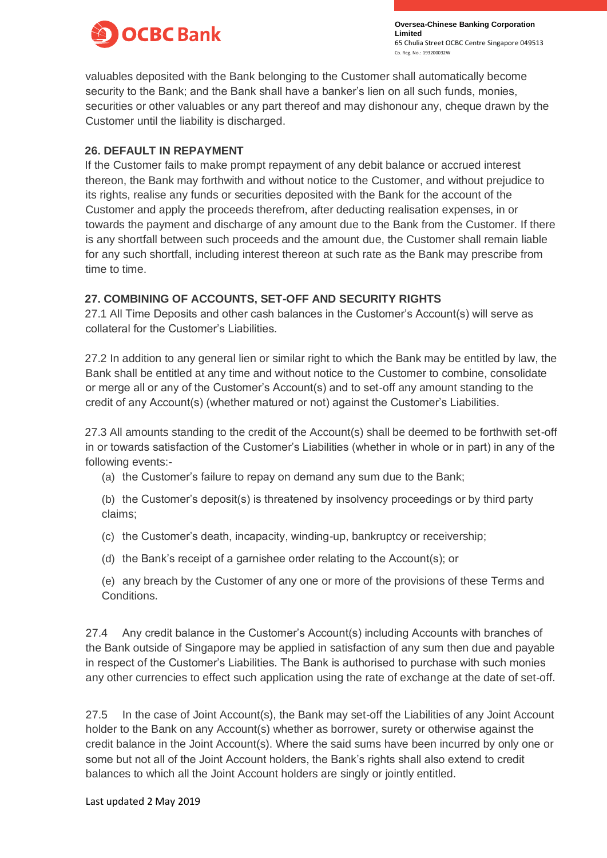

valuables deposited with the Bank belonging to the Customer shall automatically become security to the Bank; and the Bank shall have a banker's lien on all such funds, monies, securities or other valuables or any part thereof and may dishonour any, cheque drawn by the Customer until the liability is discharged.

### **26. DEFAULT IN REPAYMENT**

If the Customer fails to make prompt repayment of any debit balance or accrued interest thereon, the Bank may forthwith and without notice to the Customer, and without prejudice to its rights, realise any funds or securities deposited with the Bank for the account of the Customer and apply the proceeds therefrom, after deducting realisation expenses, in or towards the payment and discharge of any amount due to the Bank from the Customer. If there is any shortfall between such proceeds and the amount due, the Customer shall remain liable for any such shortfall, including interest thereon at such rate as the Bank may prescribe from time to time.

## **27. COMBINING OF ACCOUNTS, SET-OFF AND SECURITY RIGHTS**

27.1 All Time Deposits and other cash balances in the Customer's Account(s) will serve as collateral for the Customer's Liabilities.

27.2 In addition to any general lien or similar right to which the Bank may be entitled by law, the Bank shall be entitled at any time and without notice to the Customer to combine, consolidate or merge all or any of the Customer's Account(s) and to set-off any amount standing to the credit of any Account(s) (whether matured or not) against the Customer's Liabilities.

27.3 All amounts standing to the credit of the Account(s) shall be deemed to be forthwith set-off in or towards satisfaction of the Customer's Liabilities (whether in whole or in part) in any of the following events:-

- (a) the Customer's failure to repay on demand any sum due to the Bank;
- (b) the Customer's deposit(s) is threatened by insolvency proceedings or by third party claims;
- (c) the Customer's death, incapacity, winding-up, bankruptcy or receivership;
- (d) the Bank's receipt of a garnishee order relating to the Account(s); or
- (e) any breach by the Customer of any one or more of the provisions of these Terms and Conditions.

27.4 Any credit balance in the Customer's Account(s) including Accounts with branches of the Bank outside of Singapore may be applied in satisfaction of any sum then due and payable in respect of the Customer's Liabilities. The Bank is authorised to purchase with such monies any other currencies to effect such application using the rate of exchange at the date of set-off.

27.5 In the case of Joint Account(s), the Bank may set-off the Liabilities of any Joint Account holder to the Bank on any Account(s) whether as borrower, surety or otherwise against the credit balance in the Joint Account(s). Where the said sums have been incurred by only one or some but not all of the Joint Account holders, the Bank's rights shall also extend to credit balances to which all the Joint Account holders are singly or jointly entitled.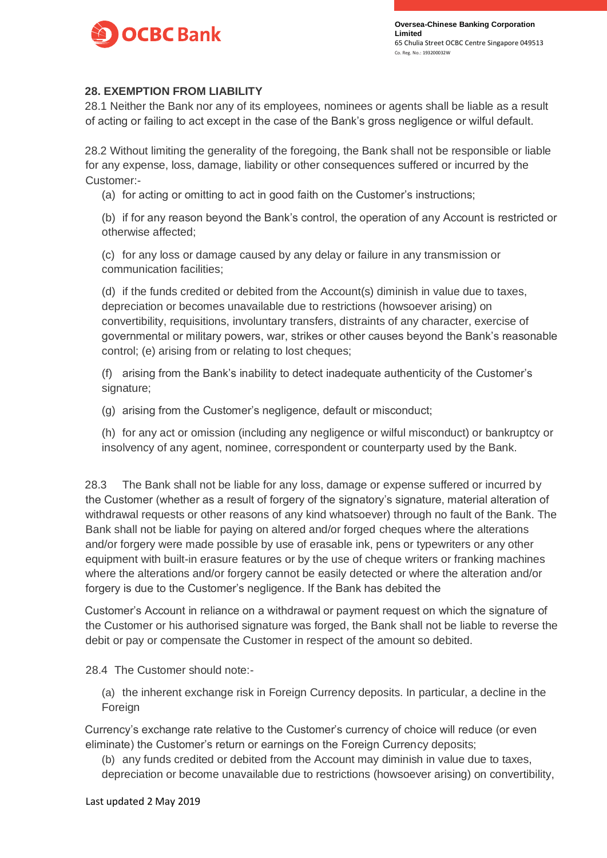

### **28. EXEMPTION FROM LIABILITY**

28.1 Neither the Bank nor any of its employees, nominees or agents shall be liable as a result of acting or failing to act except in the case of the Bank's gross negligence or wilful default.

28.2 Without limiting the generality of the foregoing, the Bank shall not be responsible or liable for any expense, loss, damage, liability or other consequences suffered or incurred by the Customer:-

(a) for acting or omitting to act in good faith on the Customer's instructions;

(b) if for any reason beyond the Bank's control, the operation of any Account is restricted or otherwise affected;

(c) for any loss or damage caused by any delay or failure in any transmission or communication facilities;

(d) if the funds credited or debited from the Account(s) diminish in value due to taxes, depreciation or becomes unavailable due to restrictions (howsoever arising) on convertibility, requisitions, involuntary transfers, distraints of any character, exercise of governmental or military powers, war, strikes or other causes beyond the Bank's reasonable control; (e) arising from or relating to lost cheques;

(f) arising from the Bank's inability to detect inadequate authenticity of the Customer's signature:

(g) arising from the Customer's negligence, default or misconduct;

(h) for any act or omission (including any negligence or wilful misconduct) or bankruptcy or insolvency of any agent, nominee, correspondent or counterparty used by the Bank.

28.3 The Bank shall not be liable for any loss, damage or expense suffered or incurred by the Customer (whether as a result of forgery of the signatory's signature, material alteration of withdrawal requests or other reasons of any kind whatsoever) through no fault of the Bank. The Bank shall not be liable for paying on altered and/or forged cheques where the alterations and/or forgery were made possible by use of erasable ink, pens or typewriters or any other equipment with built-in erasure features or by the use of cheque writers or franking machines where the alterations and/or forgery cannot be easily detected or where the alteration and/or forgery is due to the Customer's negligence. If the Bank has debited the

Customer's Account in reliance on a withdrawal or payment request on which the signature of the Customer or his authorised signature was forged, the Bank shall not be liable to reverse the debit or pay or compensate the Customer in respect of the amount so debited.

28.4 The Customer should note:-

(a) the inherent exchange risk in Foreign Currency deposits. In particular, a decline in the Foreign

Currency's exchange rate relative to the Customer's currency of choice will reduce (or even eliminate) the Customer's return or earnings on the Foreign Currency deposits;

(b) any funds credited or debited from the Account may diminish in value due to taxes, depreciation or become unavailable due to restrictions (howsoever arising) on convertibility,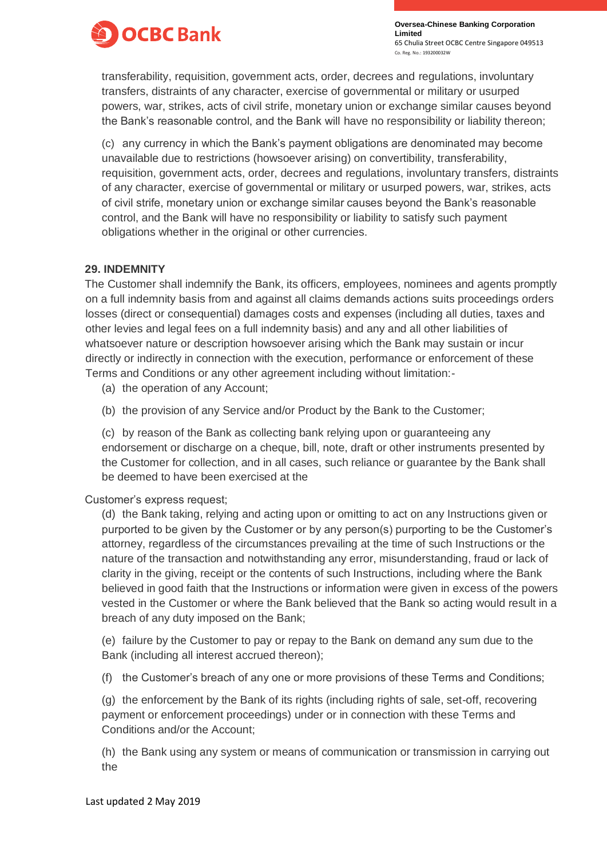

transferability, requisition, government acts, order, decrees and regulations, involuntary transfers, distraints of any character, exercise of governmental or military or usurped powers, war, strikes, acts of civil strife, monetary union or exchange similar causes beyond the Bank's reasonable control, and the Bank will have no responsibility or liability thereon;

(c) any currency in which the Bank's payment obligations are denominated may become unavailable due to restrictions (howsoever arising) on convertibility, transferability, requisition, government acts, order, decrees and regulations, involuntary transfers, distraints of any character, exercise of governmental or military or usurped powers, war, strikes, acts of civil strife, monetary union or exchange similar causes beyond the Bank's reasonable control, and the Bank will have no responsibility or liability to satisfy such payment obligations whether in the original or other currencies.

### **29. INDEMNITY**

The Customer shall indemnify the Bank, its officers, employees, nominees and agents promptly on a full indemnity basis from and against all claims demands actions suits proceedings orders losses (direct or consequential) damages costs and expenses (including all duties, taxes and other levies and legal fees on a full indemnity basis) and any and all other liabilities of whatsoever nature or description howsoever arising which the Bank may sustain or incur directly or indirectly in connection with the execution, performance or enforcement of these Terms and Conditions or any other agreement including without limitation:-

(a) the operation of any Account;

(b) the provision of any Service and/or Product by the Bank to the Customer;

(c) by reason of the Bank as collecting bank relying upon or guaranteeing any endorsement or discharge on a cheque, bill, note, draft or other instruments presented by the Customer for collection, and in all cases, such reliance or guarantee by the Bank shall be deemed to have been exercised at the

Customer's express request;

(d) the Bank taking, relying and acting upon or omitting to act on any Instructions given or purported to be given by the Customer or by any person(s) purporting to be the Customer's attorney, regardless of the circumstances prevailing at the time of such Instructions or the nature of the transaction and notwithstanding any error, misunderstanding, fraud or lack of clarity in the giving, receipt or the contents of such Instructions, including where the Bank believed in good faith that the Instructions or information were given in excess of the powers vested in the Customer or where the Bank believed that the Bank so acting would result in a breach of any duty imposed on the Bank;

(e) failure by the Customer to pay or repay to the Bank on demand any sum due to the Bank (including all interest accrued thereon);

(f) the Customer's breach of any one or more provisions of these Terms and Conditions;

(g) the enforcement by the Bank of its rights (including rights of sale, set-off, recovering payment or enforcement proceedings) under or in connection with these Terms and Conditions and/or the Account;

(h) the Bank using any system or means of communication or transmission in carrying out the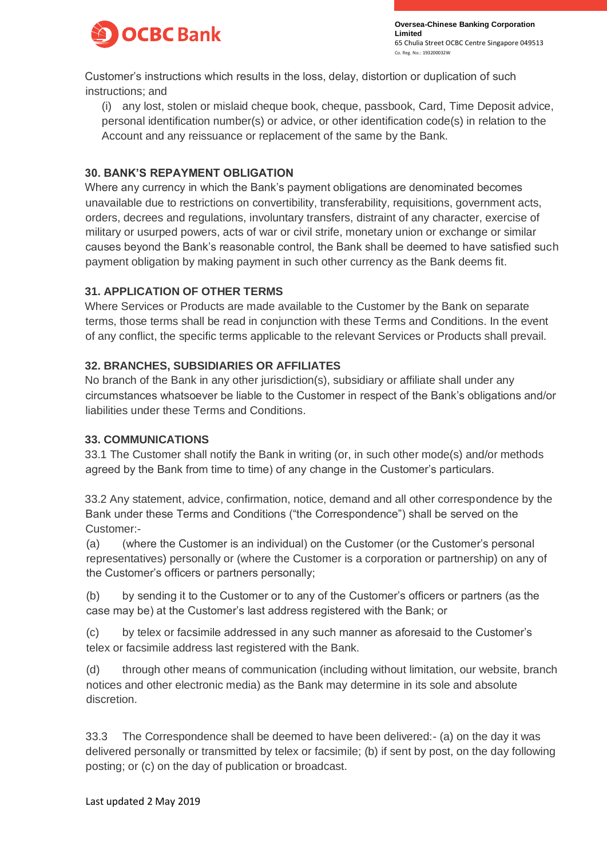

Customer's instructions which results in the loss, delay, distortion or duplication of such instructions; and

(i) any lost, stolen or mislaid cheque book, cheque, passbook, Card, Time Deposit advice, personal identification number(s) or advice, or other identification code(s) in relation to the Account and any reissuance or replacement of the same by the Bank.

## **30. BANK'S REPAYMENT OBLIGATION**

Where any currency in which the Bank's payment obligations are denominated becomes unavailable due to restrictions on convertibility, transferability, requisitions, government acts, orders, decrees and regulations, involuntary transfers, distraint of any character, exercise of military or usurped powers, acts of war or civil strife, monetary union or exchange or similar causes beyond the Bank's reasonable control, the Bank shall be deemed to have satisfied such payment obligation by making payment in such other currency as the Bank deems fit.

# **31. APPLICATION OF OTHER TERMS**

Where Services or Products are made available to the Customer by the Bank on separate terms, those terms shall be read in conjunction with these Terms and Conditions. In the event of any conflict, the specific terms applicable to the relevant Services or Products shall prevail.

# **32. BRANCHES, SUBSIDIARIES OR AFFILIATES**

No branch of the Bank in any other jurisdiction(s), subsidiary or affiliate shall under any circumstances whatsoever be liable to the Customer in respect of the Bank's obligations and/or liabilities under these Terms and Conditions.

## **33. COMMUNICATIONS**

33.1 The Customer shall notify the Bank in writing (or, in such other mode(s) and/or methods agreed by the Bank from time to time) of any change in the Customer's particulars.

33.2 Any statement, advice, confirmation, notice, demand and all other correspondence by the Bank under these Terms and Conditions ("the Correspondence") shall be served on the Customer:-

(a) (where the Customer is an individual) on the Customer (or the Customer's personal representatives) personally or (where the Customer is a corporation or partnership) on any of the Customer's officers or partners personally;

(b) by sending it to the Customer or to any of the Customer's officers or partners (as the case may be) at the Customer's last address registered with the Bank; or

(c) by telex or facsimile addressed in any such manner as aforesaid to the Customer's telex or facsimile address last registered with the Bank.

(d) through other means of communication (including without limitation, our website, branch notices and other electronic media) as the Bank may determine in its sole and absolute discretion.

33.3 The Correspondence shall be deemed to have been delivered:- (a) on the day it was delivered personally or transmitted by telex or facsimile; (b) if sent by post, on the day following posting; or (c) on the day of publication or broadcast.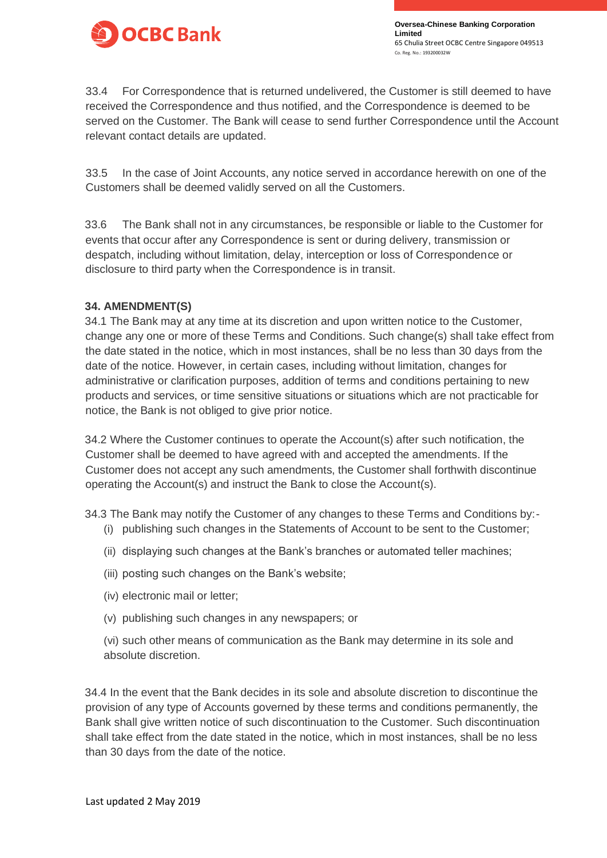

33.4 For Correspondence that is returned undelivered, the Customer is still deemed to have received the Correspondence and thus notified, and the Correspondence is deemed to be served on the Customer. The Bank will cease to send further Correspondence until the Account relevant contact details are updated.

33.5 In the case of Joint Accounts, any notice served in accordance herewith on one of the Customers shall be deemed validly served on all the Customers.

33.6 The Bank shall not in any circumstances, be responsible or liable to the Customer for events that occur after any Correspondence is sent or during delivery, transmission or despatch, including without limitation, delay, interception or loss of Correspondence or disclosure to third party when the Correspondence is in transit.

### **34. AMENDMENT(S)**

34.1 The Bank may at any time at its discretion and upon written notice to the Customer, change any one or more of these Terms and Conditions. Such change(s) shall take effect from the date stated in the notice, which in most instances, shall be no less than 30 days from the date of the notice. However, in certain cases, including without limitation, changes for administrative or clarification purposes, addition of terms and conditions pertaining to new products and services, or time sensitive situations or situations which are not practicable for notice, the Bank is not obliged to give prior notice.

34.2 Where the Customer continues to operate the Account(s) after such notification, the Customer shall be deemed to have agreed with and accepted the amendments. If the Customer does not accept any such amendments, the Customer shall forthwith discontinue operating the Account(s) and instruct the Bank to close the Account(s).

34.3 The Bank may notify the Customer of any changes to these Terms and Conditions by:-

- (i) publishing such changes in the Statements of Account to be sent to the Customer;
- (ii) displaying such changes at the Bank's branches or automated teller machines;
- (iii) posting such changes on the Bank's website;
- (iv) electronic mail or letter;
- (v) publishing such changes in any newspapers; or
- (vi) such other means of communication as the Bank may determine in its sole and absolute discretion.

34.4 In the event that the Bank decides in its sole and absolute discretion to discontinue the provision of any type of Accounts governed by these terms and conditions permanently, the Bank shall give written notice of such discontinuation to the Customer. Such discontinuation shall take effect from the date stated in the notice, which in most instances, shall be no less than 30 days from the date of the notice.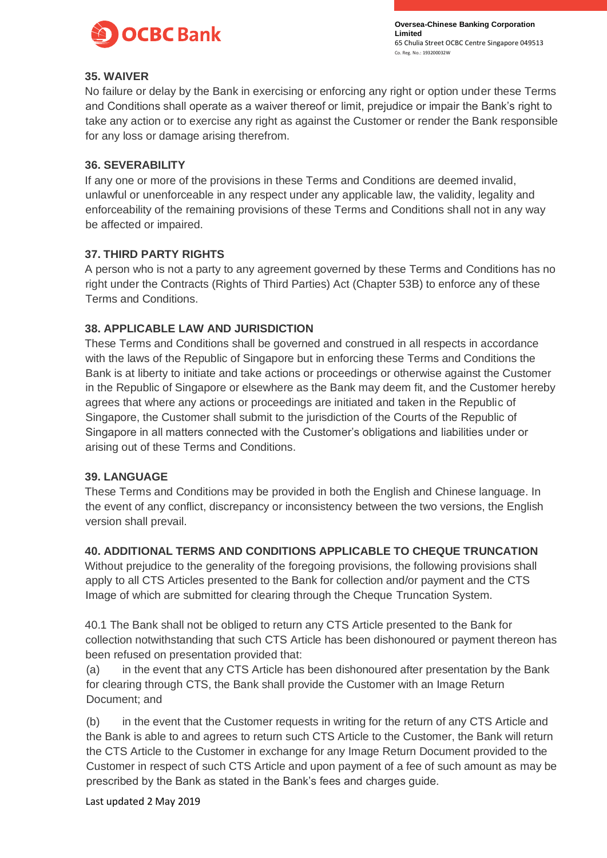

### **35. WAIVER**

No failure or delay by the Bank in exercising or enforcing any right or option under these Terms and Conditions shall operate as a waiver thereof or limit, prejudice or impair the Bank's right to take any action or to exercise any right as against the Customer or render the Bank responsible for any loss or damage arising therefrom.

### **36. SEVERABILITY**

If any one or more of the provisions in these Terms and Conditions are deemed invalid, unlawful or unenforceable in any respect under any applicable law, the validity, legality and enforceability of the remaining provisions of these Terms and Conditions shall not in any way be affected or impaired.

### **37. THIRD PARTY RIGHTS**

A person who is not a party to any agreement governed by these Terms and Conditions has no right under the Contracts (Rights of Third Parties) Act (Chapter 53B) to enforce any of these Terms and Conditions.

### **38. APPLICABLE LAW AND JURISDICTION**

These Terms and Conditions shall be governed and construed in all respects in accordance with the laws of the Republic of Singapore but in enforcing these Terms and Conditions the Bank is at liberty to initiate and take actions or proceedings or otherwise against the Customer in the Republic of Singapore or elsewhere as the Bank may deem fit, and the Customer hereby agrees that where any actions or proceedings are initiated and taken in the Republic of Singapore, the Customer shall submit to the jurisdiction of the Courts of the Republic of Singapore in all matters connected with the Customer's obligations and liabilities under or arising out of these Terms and Conditions.

### **39. LANGUAGE**

These Terms and Conditions may be provided in both the English and Chinese language. In the event of any conflict, discrepancy or inconsistency between the two versions, the English version shall prevail.

## **40. ADDITIONAL TERMS AND CONDITIONS APPLICABLE TO CHEQUE TRUNCATION**

Without prejudice to the generality of the foregoing provisions, the following provisions shall apply to all CTS Articles presented to the Bank for collection and/or payment and the CTS Image of which are submitted for clearing through the Cheque Truncation System.

40.1 The Bank shall not be obliged to return any CTS Article presented to the Bank for collection notwithstanding that such CTS Article has been dishonoured or payment thereon has been refused on presentation provided that:

(a) in the event that any CTS Article has been dishonoured after presentation by the Bank for clearing through CTS, the Bank shall provide the Customer with an Image Return Document; and

(b) in the event that the Customer requests in writing for the return of any CTS Article and the Bank is able to and agrees to return such CTS Article to the Customer, the Bank will return the CTS Article to the Customer in exchange for any Image Return Document provided to the Customer in respect of such CTS Article and upon payment of a fee of such amount as may be prescribed by the Bank as stated in the Bank's fees and charges guide.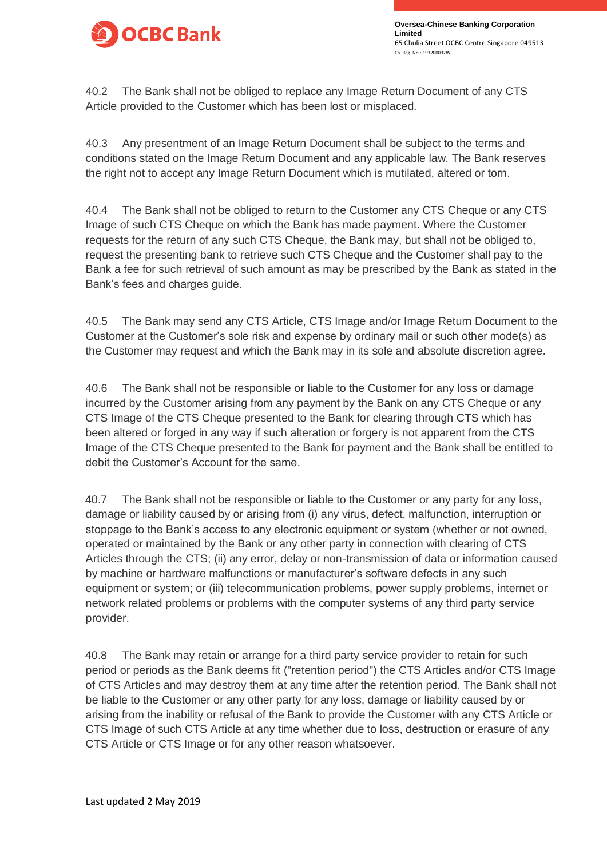

40.2 The Bank shall not be obliged to replace any Image Return Document of any CTS Article provided to the Customer which has been lost or misplaced.

40.3 Any presentment of an Image Return Document shall be subject to the terms and conditions stated on the Image Return Document and any applicable law. The Bank reserves the right not to accept any Image Return Document which is mutilated, altered or torn.

40.4 The Bank shall not be obliged to return to the Customer any CTS Cheque or any CTS Image of such CTS Cheque on which the Bank has made payment. Where the Customer requests for the return of any such CTS Cheque, the Bank may, but shall not be obliged to, request the presenting bank to retrieve such CTS Cheque and the Customer shall pay to the Bank a fee for such retrieval of such amount as may be prescribed by the Bank as stated in the Bank's fees and charges guide.

40.5 The Bank may send any CTS Article, CTS Image and/or Image Return Document to the Customer at the Customer's sole risk and expense by ordinary mail or such other mode(s) as the Customer may request and which the Bank may in its sole and absolute discretion agree.

40.6 The Bank shall not be responsible or liable to the Customer for any loss or damage incurred by the Customer arising from any payment by the Bank on any CTS Cheque or any CTS Image of the CTS Cheque presented to the Bank for clearing through CTS which has been altered or forged in any way if such alteration or forgery is not apparent from the CTS Image of the CTS Cheque presented to the Bank for payment and the Bank shall be entitled to debit the Customer's Account for the same.

40.7 The Bank shall not be responsible or liable to the Customer or any party for any loss, damage or liability caused by or arising from (i) any virus, defect, malfunction, interruption or stoppage to the Bank's access to any electronic equipment or system (whether or not owned, operated or maintained by the Bank or any other party in connection with clearing of CTS Articles through the CTS; (ii) any error, delay or non-transmission of data or information caused by machine or hardware malfunctions or manufacturer's software defects in any such equipment or system; or (iii) telecommunication problems, power supply problems, internet or network related problems or problems with the computer systems of any third party service provider.

40.8 The Bank may retain or arrange for a third party service provider to retain for such period or periods as the Bank deems fit ("retention period") the CTS Articles and/or CTS Image of CTS Articles and may destroy them at any time after the retention period. The Bank shall not be liable to the Customer or any other party for any loss, damage or liability caused by or arising from the inability or refusal of the Bank to provide the Customer with any CTS Article or CTS Image of such CTS Article at any time whether due to loss, destruction or erasure of any CTS Article or CTS Image or for any other reason whatsoever.